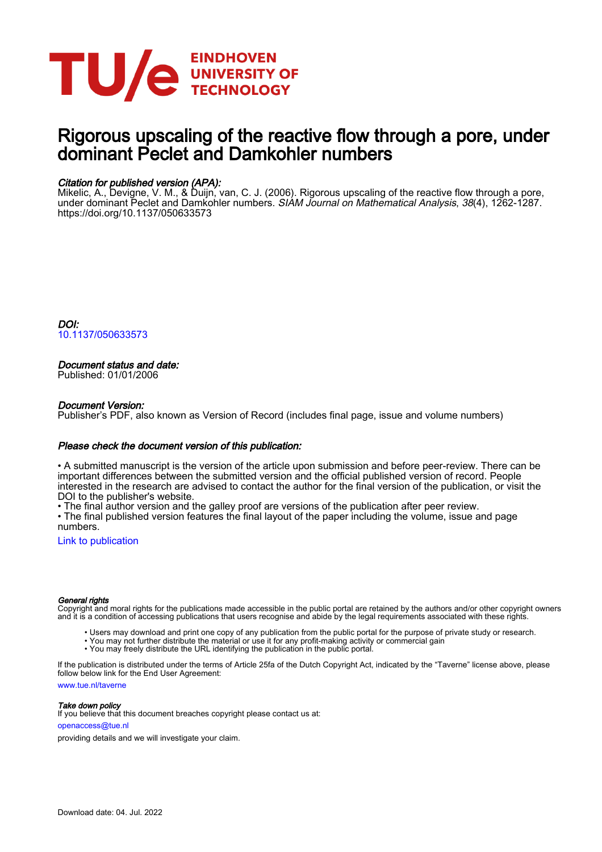

# Rigorous upscaling of the reactive flow through a pore, under dominant Peclet and Damkohler numbers

# Citation for published version (APA):

Mikelic, A., Devigne, V. M., & Duijn, van, C. J. (2006). Rigorous upscaling of the reactive flow through a pore, under dominant Peclet and Damkohler numbers. *SIAM Journal on Mathematical Analysis, 38*(4), 1262-1287. <https://doi.org/10.1137/050633573>

DOI: [10.1137/050633573](https://doi.org/10.1137/050633573)

# Document status and date:

Published: 01/01/2006

## Document Version:

Publisher's PDF, also known as Version of Record (includes final page, issue and volume numbers)

### Please check the document version of this publication:

• A submitted manuscript is the version of the article upon submission and before peer-review. There can be important differences between the submitted version and the official published version of record. People interested in the research are advised to contact the author for the final version of the publication, or visit the DOI to the publisher's website.

• The final author version and the galley proof are versions of the publication after peer review.

• The final published version features the final layout of the paper including the volume, issue and page numbers.

[Link to publication](https://research.tue.nl/en/publications/268dd03e-7e54-4e63-9407-589f687e3a29)

### General rights

Copyright and moral rights for the publications made accessible in the public portal are retained by the authors and/or other copyright owners and it is a condition of accessing publications that users recognise and abide by the legal requirements associated with these rights.

- Users may download and print one copy of any publication from the public portal for the purpose of private study or research.
- You may not further distribute the material or use it for any profit-making activity or commercial gain
- You may freely distribute the URL identifying the publication in the public portal.

If the publication is distributed under the terms of Article 25fa of the Dutch Copyright Act, indicated by the "Taverne" license above, please follow below link for the End User Agreement:

www.tue.nl/taverne

**Take down policy**<br>If you believe that this document breaches copyright please contact us at:

openaccess@tue.nl

providing details and we will investigate your claim.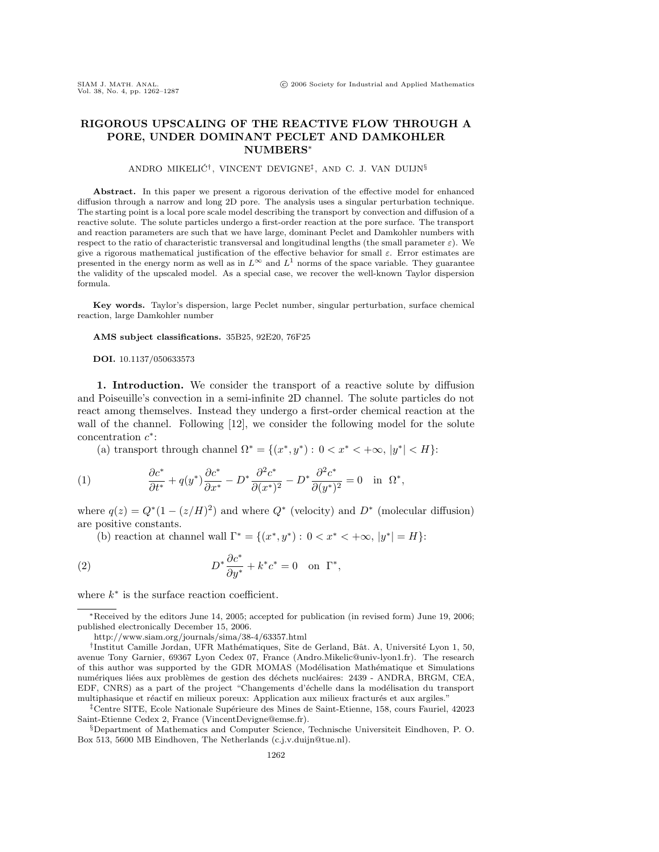## **RIGOROUS UPSCALING OF THE REACTIVE FLOW THROUGH A PORE, UNDER DOMINANT PECLET AND DAMKOHLER NUMBERS**<sup>∗</sup>

### ANDRO MIKELIĆ<sup>†</sup>, VINCENT DEVIGNE<sup>‡</sup>, AND C. J. VAN DUIJN<sup>§</sup>

**Abstract.** In this paper we present a rigorous derivation of the effective model for enhanced diffusion through a narrow and long 2D pore. The analysis uses a singular perturbation technique. The starting point is a local pore scale model describing the transport by convection and diffusion of a reactive solute. The solute particles undergo a first-order reaction at the pore surface. The transport and reaction parameters are such that we have large, dominant Peclet and Damkohler numbers with respect to the ratio of characteristic transversal and longitudinal lengths (the small parameter  $\varepsilon$ ). We give a rigorous mathematical justification of the effective behavior for small ε. Error estimates are presented in the energy norm as well as in  $L^{\infty}$  and  $L^{1}$  norms of the space variable. They guarantee the validity of the upscaled model. As a special case, we recover the well-known Taylor dispersion formula.

**Key words.** Taylor's dispersion, large Peclet number, singular perturbation, surface chemical reaction, large Damkohler number

### **AMS subject classifications.** 35B25, 92E20, 76F25

**DOI.** 10.1137/050633573

**1. Introduction.** We consider the transport of a reactive solute by diffusion and Poiseuille's convection in a semi-infinite 2D channel. The solute particles do not react among themselves. Instead they undergo a first-order chemical reaction at the wall of the channel. Following [12], we consider the following model for the solute concentration  $c^*$ :

(a) transport through channel  $\Omega^* = \{(x^*, y^*): 0 < x^* < +\infty, |y^*| < H\}$ :

(1) 
$$
\frac{\partial c^*}{\partial t^*} + q(y^*) \frac{\partial c^*}{\partial x^*} - D^* \frac{\partial^2 c^*}{\partial (x^*)^2} - D^* \frac{\partial^2 c^*}{\partial (y^*)^2} = 0 \text{ in } \Omega^*,
$$

where  $q(z) = Q^*(1 - (z/H)^2)$  and where  $Q^*$  (velocity) and  $D^*$  (molecular diffusion) are positive constants.

(b) reaction at channel wall  $\Gamma^* = \{(x^*, y^*) : 0 < x^* < +\infty, |y^*| = H\}$ :

(2) 
$$
D^* \frac{\partial c^*}{\partial y^*} + k^* c^* = 0 \text{ on } \Gamma^*,
$$

where  $k^*$  is the surface reaction coefficient.

<sup>∗</sup>Received by the editors June 14, 2005; accepted for publication (in revised form) June 19, 2006; published electronically December 15, 2006.

http://www.siam.org/journals/sima/38-4/63357.html

<sup>&</sup>lt;sup>†</sup>Institut Camille Jordan, UFR Mathématiques, Site de Gerland, Bât. A, Université Lyon 1, 50, avenue Tony Garnier, 69367 Lyon Cedex 07, France (Andro.Mikelic@univ-lyon1.fr). The research of this author was supported by the GDR MOMAS (Modélisation Mathématique et Simulations numériques liées aux problèmes de gestion des déchets nucléaires: 2439 - ANDRA, BRGM, CEA, EDF, CNRS) as a part of the project "Changements d'échelle dans la modélisation du transport multiphasique et réactif en milieux poreux: Application aux milieux fracturés et aux argiles."

<sup>&</sup>lt;sup>‡</sup>Centre SITE, Ecole Nationale Supérieure des Mines de Saint-Etienne, 158, cours Fauriel, 42023 Saint-Etienne Cedex 2, France (VincentDevigne@emse.fr).

<sup>§</sup>Department of Mathematics and Computer Science, Technische Universiteit Eindhoven, P. O. Box 513, 5600 MB Eindhoven, The Netherlands (c.j.v.duijn@tue.nl).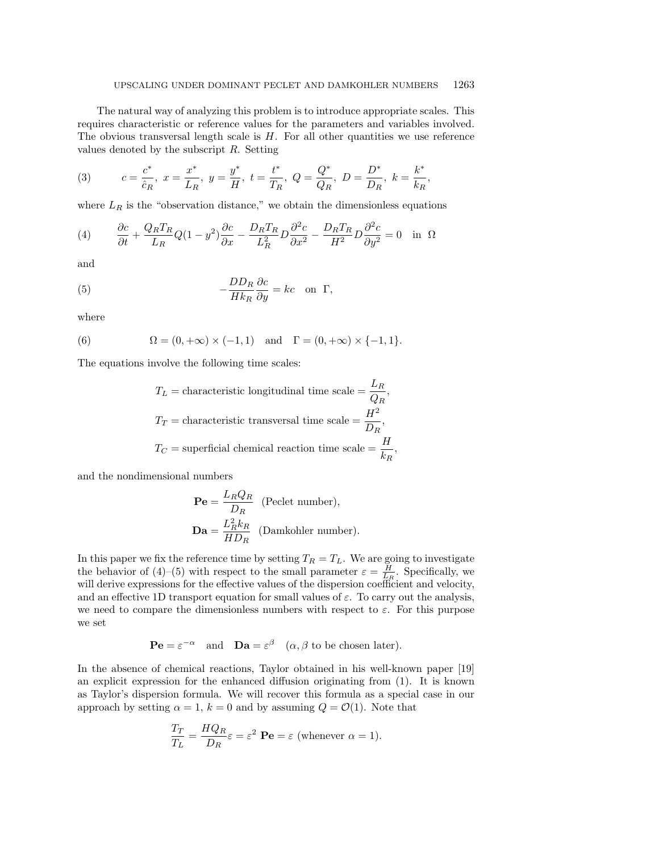The natural way of analyzing this problem is to introduce appropriate scales. This requires characteristic or reference values for the parameters and variables involved. The obvious transversal length scale is  $H$ . For all other quantities we use reference values denoted by the subscript  $R$ . Setting

(3) 
$$
c = \frac{c^*}{\hat{c}_R}
$$
,  $x = \frac{x^*}{L_R}$ ,  $y = \frac{y^*}{H}$ ,  $t = \frac{t^*}{T_R}$ ,  $Q = \frac{Q^*}{Q_R}$ ,  $D = \frac{D^*}{D_R}$ ,  $k = \frac{k^*}{k_R}$ ,

where  $L_R$  is the "observation distance," we obtain the dimensionless equations

(4) 
$$
\frac{\partial c}{\partial t} + \frac{Q_R T_R}{L_R} Q(1 - y^2) \frac{\partial c}{\partial x} - \frac{D_R T_R}{L_R^2} D \frac{\partial^2 c}{\partial x^2} - \frac{D_R T_R}{H^2} D \frac{\partial^2 c}{\partial y^2} = 0 \text{ in } \Omega
$$

and

(5) 
$$
-\frac{DD_R}{Hk_R}\frac{\partial c}{\partial y} = kc \text{ on } \Gamma,
$$

where

(6) 
$$
\Omega = (0, +\infty) \times (-1, 1)
$$
 and  $\Gamma = (0, +\infty) \times \{-1, 1\}.$ 

The equations involve the following time scales:

$$
T_L = \text{characteristic longitudinal time scale} = \frac{L_R}{Q_R},
$$
  

$$
T_T = \text{characteristic transversal time scale} = \frac{H^2}{D_R},
$$
  

$$
T_C = \text{superficial chemical reaction time scale} = \frac{H}{k_R},
$$

and the nondimensional numbers

$$
\mathbf{Pe} = \frac{L_R Q_R}{D_R} \quad \text{(Peclet number)},
$$
\n
$$
\mathbf{Da} = \frac{L_R^2 k_R}{HD_R} \quad \text{(Damkohler number)}.
$$

In this paper we fix the reference time by setting  $T_R = T_L$ . We are going to investigate the behavior of (4)–(5) with respect to the small parameter  $\varepsilon = \frac{H}{L_R}$ . Specifically, we will derive expressions for the effective values of the dispersion coefficient and velocity, and an effective 1D transport equation for small values of  $\varepsilon$ . To carry out the analysis, we need to compare the dimensionless numbers with respect to  $\varepsilon$ . For this purpose we set

$$
\mathbf{P} \mathbf{e} = \varepsilon^{-\alpha} \quad \text{and} \quad \mathbf{D} \mathbf{a} = \varepsilon^{\beta} \quad (\alpha, \beta \text{ to be chosen later}).
$$

In the absence of chemical reactions, Taylor obtained in his well-known paper [19] an explicit expression for the enhanced diffusion originating from (1). It is known as Taylor's dispersion formula. We will recover this formula as a special case in our approach by setting  $\alpha = 1$ ,  $k = 0$  and by assuming  $Q = \mathcal{O}(1)$ . Note that

$$
\frac{T_T}{T_L} = \frac{HQ_R}{D_R} \varepsilon = \varepsilon^2 \text{ Pe} = \varepsilon \text{ (whenever } \alpha = 1).
$$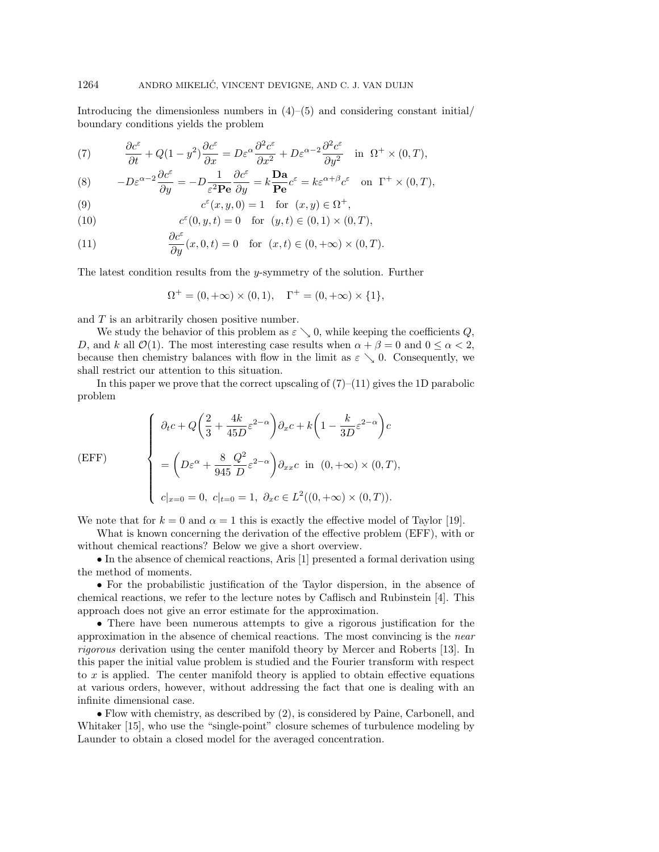Introducing the dimensionless numbers in  $(4)$ – $(5)$  and considering constant initial/ boundary conditions yields the problem

(7) 
$$
\frac{\partial c^{\varepsilon}}{\partial t} + Q(1 - y^2) \frac{\partial c^{\varepsilon}}{\partial x} = D\varepsilon^{\alpha} \frac{\partial^2 c^{\varepsilon}}{\partial x^2} + D\varepsilon^{\alpha - 2} \frac{\partial^2 c^{\varepsilon}}{\partial y^2} \text{ in } \Omega^+ \times (0, T),
$$

(8) 
$$
-D\varepsilon^{\alpha-2}\frac{\partial c^{\varepsilon}}{\partial y} = -D\frac{1}{\varepsilon^2 \mathbf{P} \mathbf{e}}\frac{\partial c^{\varepsilon}}{\partial y} = k\frac{\mathbf{D} \mathbf{a}}{\mathbf{P} \mathbf{e}}c^{\varepsilon} = k\varepsilon^{\alpha+\beta}c^{\varepsilon} \text{ on } \Gamma^+ \times (0,T),
$$

(9) 
$$
c^{\varepsilon}(x, y, 0) = 1 \text{ for } (x, y) \in \Omega^{+},
$$

(10) 
$$
c^{\varepsilon}(0, y, t) = 0 \text{ for } (y, t) \in (0, 1) \times (0, T),
$$

(11) 
$$
\frac{\partial c^{\varepsilon}}{\partial y}(x,0,t) = 0 \text{ for } (x,t) \in (0,+\infty) \times (0,T).
$$

The latest condition results from the y-symmetry of the solution. Further

$$
\Omega^{+} = (0, +\infty) \times (0, 1), \quad \Gamma^{+} = (0, +\infty) \times \{1\},
$$

and  $T$  is an arbitrarily chosen positive number.

We study the behavior of this problem as  $\varepsilon \searrow 0$ , while keeping the coefficients Q, D, and k all  $\mathcal{O}(1)$ . The most interesting case results when  $\alpha + \beta = 0$  and  $0 \leq \alpha < 2$ , because then chemistry balances with flow in the limit as  $\varepsilon \searrow 0$ . Consequently, we shall restrict our attention to this situation.

In this paper we prove that the correct upscaling of  $(7)$ – $(11)$  gives the 1D parabolic problem

(EFF)  

$$
\begin{cases}\n\partial_t c + Q \left(\frac{2}{3} + \frac{4k}{45D} \varepsilon^{2-\alpha}\right) \partial_x c + k \left(1 - \frac{k}{3D} \varepsilon^{2-\alpha}\right) c \\
= \left(D\varepsilon^{\alpha} + \frac{8}{945} \frac{Q^2}{D} \varepsilon^{2-\alpha}\right) \partial_{xx} c \text{ in } (0, +\infty) \times (0, T), \\
c|_{x=0} = 0, \ c|_{t=0} = 1, \ \partial_x c \in L^2((0, +\infty) \times (0, T)).\n\end{cases}
$$

We note that for  $k = 0$  and  $\alpha = 1$  this is exactly the effective model of Taylor [19].

What is known concerning the derivation of the effective problem (EFF), with or without chemical reactions? Below we give a short overview.

• In the absence of chemical reactions, Aris [1] presented a formal derivation using the method of moments.

• For the probabilistic justification of the Taylor dispersion, in the absence of chemical reactions, we refer to the lecture notes by Caflisch and Rubinstein [4]. This approach does not give an error estimate for the approximation.

• There have been numerous attempts to give a rigorous justification for the approximation in the absence of chemical reactions. The most convincing is the near rigorous derivation using the center manifold theory by Mercer and Roberts [13]. In this paper the initial value problem is studied and the Fourier transform with respect to x is applied. The center manifold theory is applied to obtain effective equations at various orders, however, without addressing the fact that one is dealing with an infinite dimensional case.

• Flow with chemistry, as described by (2), is considered by Paine, Carbonell, and Whitaker [15], who use the "single-point" closure schemes of turbulence modeling by Launder to obtain a closed model for the averaged concentration.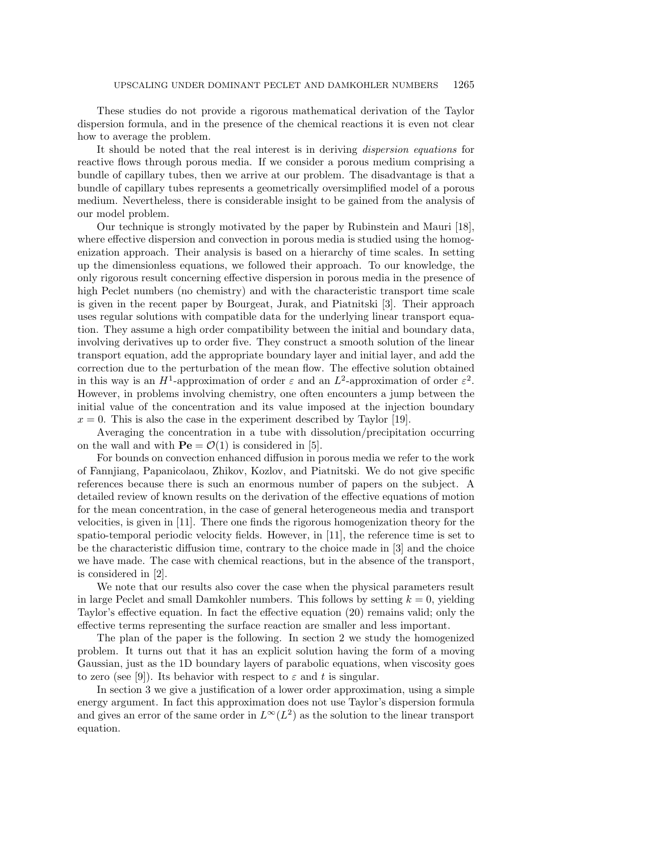These studies do not provide a rigorous mathematical derivation of the Taylor dispersion formula, and in the presence of the chemical reactions it is even not clear how to average the problem.

It should be noted that the real interest is in deriving dispersion equations for reactive flows through porous media. If we consider a porous medium comprising a bundle of capillary tubes, then we arrive at our problem. The disadvantage is that a bundle of capillary tubes represents a geometrically oversimplified model of a porous medium. Nevertheless, there is considerable insight to be gained from the analysis of our model problem.

Our technique is strongly motivated by the paper by Rubinstein and Mauri [18], where effective dispersion and convection in porous media is studied using the homogenization approach. Their analysis is based on a hierarchy of time scales. In setting up the dimensionless equations, we followed their approach. To our knowledge, the only rigorous result concerning effective dispersion in porous media in the presence of high Peclet numbers (no chemistry) and with the characteristic transport time scale is given in the recent paper by Bourgeat, Jurak, and Piatnitski [3]. Their approach uses regular solutions with compatible data for the underlying linear transport equation. They assume a high order compatibility between the initial and boundary data, involving derivatives up to order five. They construct a smooth solution of the linear transport equation, add the appropriate boundary layer and initial layer, and add the correction due to the perturbation of the mean flow. The effective solution obtained in this way is an  $H^1$ -approximation of order  $\varepsilon$  and an  $L^2$ -approximation of order  $\varepsilon^2$ . However, in problems involving chemistry, one often encounters a jump between the initial value of the concentration and its value imposed at the injection boundary  $x = 0$ . This is also the case in the experiment described by Taylor [19].

Averaging the concentration in a tube with dissolution/precipitation occurring on the wall and with  $\mathbf{Pe} = \mathcal{O}(1)$  is considered in [5].

For bounds on convection enhanced diffusion in porous media we refer to the work of Fannjiang, Papanicolaou, Zhikov, Kozlov, and Piatnitski. We do not give specific references because there is such an enormous number of papers on the subject. A detailed review of known results on the derivation of the effective equations of motion for the mean concentration, in the case of general heterogeneous media and transport velocities, is given in [11]. There one finds the rigorous homogenization theory for the spatio-temporal periodic velocity fields. However, in [11], the reference time is set to be the characteristic diffusion time, contrary to the choice made in [3] and the choice we have made. The case with chemical reactions, but in the absence of the transport, is considered in [2].

We note that our results also cover the case when the physical parameters result in large Peclet and small Damkohler numbers. This follows by setting  $k = 0$ , yielding Taylor's effective equation. In fact the effective equation (20) remains valid; only the effective terms representing the surface reaction are smaller and less important.

The plan of the paper is the following. In section 2 we study the homogenized problem. It turns out that it has an explicit solution having the form of a moving Gaussian, just as the 1D boundary layers of parabolic equations, when viscosity goes to zero (see [9]). Its behavior with respect to  $\varepsilon$  and t is singular.

In section 3 we give a justification of a lower order approximation, using a simple energy argument. In fact this approximation does not use Taylor's dispersion formula and gives an error of the same order in  $L^{\infty}(L^2)$  as the solution to the linear transport equation.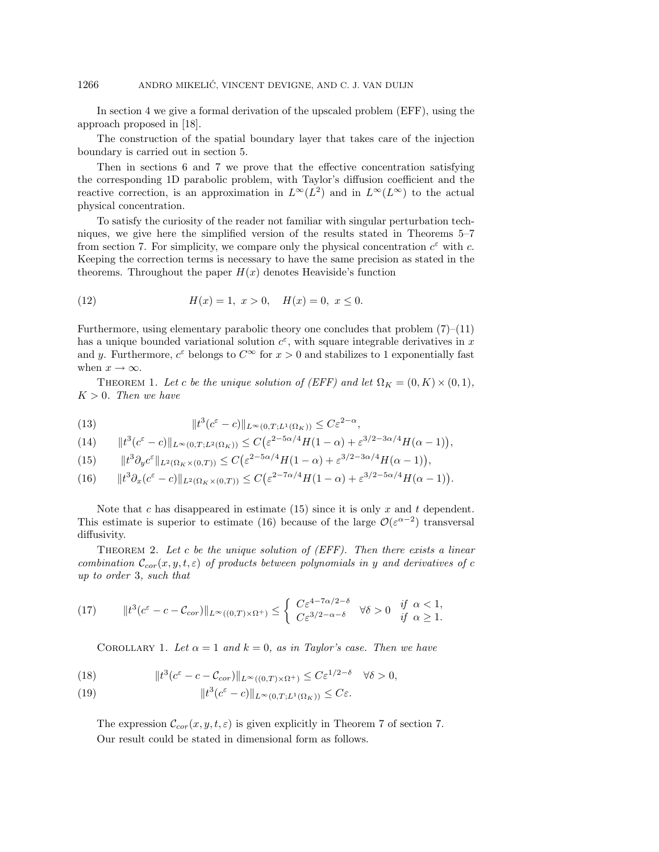In section 4 we give a formal derivation of the upscaled problem (EFF), using the approach proposed in [18].

The construction of the spatial boundary layer that takes care of the injection boundary is carried out in section 5.

Then in sections 6 and 7 we prove that the effective concentration satisfying the corresponding 1D parabolic problem, with Taylor's diffusion coefficient and the reactive correction, is an approximation in  $L^{\infty}(L^2)$  and in  $L^{\infty}(L^{\infty})$  to the actual physical concentration.

To satisfy the curiosity of the reader not familiar with singular perturbation techniques, we give here the simplified version of the results stated in Theorems 5–7 from section 7. For simplicity, we compare only the physical concentration  $c^{\varepsilon}$  with c. Keeping the correction terms is necessary to have the same precision as stated in the theorems. Throughout the paper  $H(x)$  denotes Heaviside's function

(12) 
$$
H(x) = 1, \ x > 0, \quad H(x) = 0, \ x \le 0.
$$

Furthermore, using elementary parabolic theory one concludes that problem  $(7)$ – $(11)$ has a unique bounded variational solution  $c^{\epsilon}$ , with square integrable derivatives in x and y. Furthermore,  $c^{\varepsilon}$  belongs to  $C^{\infty}$  for  $x > 0$  and stabilizes to 1 exponentially fast when  $x \to \infty$ .

THEOREM 1. Let c be the unique solution of (EFF) and let  $\Omega_K = (0, K) \times (0, 1)$ ,  $K > 0$ . Then we have

(13) 
$$
||t^3(c^{\varepsilon}-c)||_{L^{\infty}(0,T;L^1(\Omega_K))} \leq C\varepsilon^{2-\alpha},
$$

$$
(14) \qquad \|t^3(c^{\varepsilon}-c)\|_{L^{\infty}(0,T;L^2(\Omega_K))} \leq C\big(\varepsilon^{2-5\alpha/4}H(1-\alpha)+\varepsilon^{3/2-3\alpha/4}H(\alpha-1)\big),
$$

(15)  $||t^3 \partial_y c^{\varepsilon}||_{L^2(\Omega_K \times (0,T))} \leq C \left( \varepsilon^{2-5\alpha/4} H(1-\alpha) + \varepsilon^{3/2-3\alpha/4} H(\alpha-1) \right),$ 

$$
(16) \qquad \|t^3\partial_x(c^\varepsilon - c)\|_{L^2(\Omega_K \times (0,T))} \le C\big(\varepsilon^{2-7\alpha/4}H(1-\alpha) + \varepsilon^{3/2-5\alpha/4}H(\alpha-1)\big).
$$

Note that c has disappeared in estimate  $(15)$  since it is only x and t dependent. This estimate is superior to estimate (16) because of the large  $\mathcal{O}(\varepsilon^{\alpha-2})$  transversal diffusivity.

THEOREM 2. Let c be the unique solution of  $(EFF)$ . Then there exists a linear combination  $\mathcal{C}_{cor}(x, y, t, \varepsilon)$  of products between polynomials in y and derivatives of c up to order 3, such that

$$
(17) \t\t\t ||t^3(c^{\varepsilon} - c - \mathcal{C}_{cor})||_{L^{\infty}((0,T)\times\Omega^+)} \leq \begin{cases} C\varepsilon^{4-7\alpha/2-\delta} & \forall \delta > 0 \text{ if } \alpha < 1, \\ C\varepsilon^{3/2-\alpha-\delta} & \forall \delta > 0 \text{ if } \alpha \geq 1. \end{cases}
$$

COROLLARY 1. Let  $\alpha = 1$  and  $k = 0$ , as in Taylor's case. Then we have

(18) 
$$
\|t^3(c^{\varepsilon}-c-\mathcal{C}_{cor})\|_{L^{\infty}((0,T)\times\Omega^+)} \leq C\varepsilon^{1/2-\delta} \quad \forall \delta > 0,
$$

(19) 
$$
||t^3(c^{\varepsilon}-c)||_{L^{\infty}(0,T;L^1(\Omega_K))} \leq C\varepsilon.
$$

The expression  $\mathcal{C}_{cor}(x, y, t, \varepsilon)$  is given explicitly in Theorem 7 of section 7. Our result could be stated in dimensional form as follows.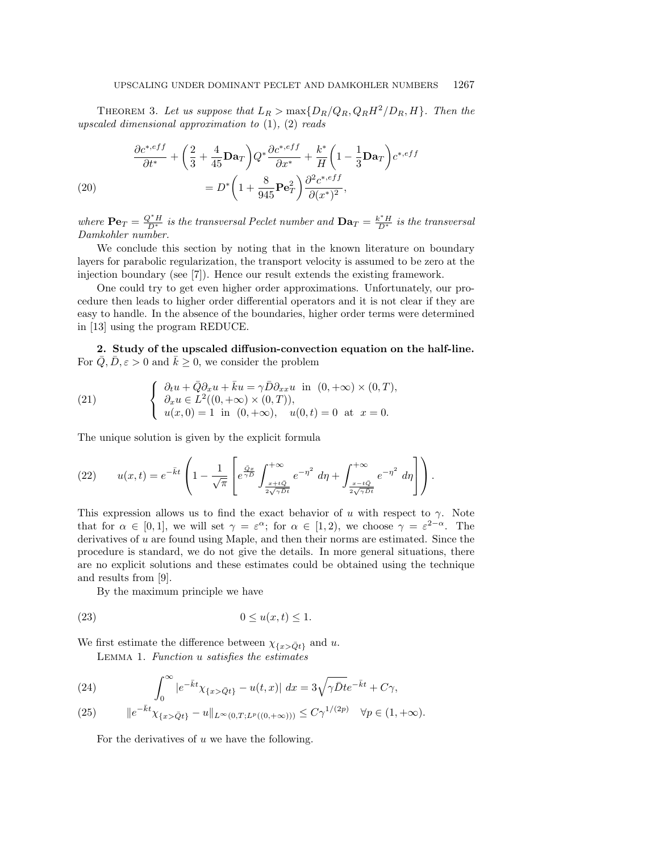THEOREM 3. Let us suppose that  $L_R > \max\{D_R/Q_R, Q_R H^2/D_R, H\}$ . Then the upscaled dimensional approximation to  $(1)$ ,  $(2)$  reads

(20)  
\n
$$
\frac{\partial c^{*,eff}}{\partial t^*} + \left(\frac{2}{3} + \frac{4}{45}\mathbf{D}\mathbf{a}_T\right)Q^*\frac{\partial c^{*,eff}}{\partial x^*} + \frac{k^*}{H}\left(1 - \frac{1}{3}\mathbf{D}\mathbf{a}_T\right)c^{*,eff}
$$
\n
$$
= D^*\left(1 + \frac{8}{945}\mathbf{P}\mathbf{e}_T^2\right)\frac{\partial^2 c^{*,eff}}{\partial (x^*)^2},
$$

where  $\mathbf{Pe}_T = \frac{Q^*H}{D^*}$  is the transversal Peclet number and  $\mathbf{Da}_T = \frac{k^*H}{D^*}$  is the transversal Damkohler number.

We conclude this section by noting that in the known literature on boundary layers for parabolic regularization, the transport velocity is assumed to be zero at the injection boundary (see [7]). Hence our result extends the existing framework.

One could try to get even higher order approximations. Unfortunately, our procedure then leads to higher order differential operators and it is not clear if they are easy to handle. In the absence of the boundaries, higher order terms were determined in [13] using the program REDUCE.

**2. Study of the upscaled diffusion-convection equation on the half-line.** For  $\overline{Q}, \overline{D}, \varepsilon > 0$  and  $\overline{k} \geq 0$ , we consider the problem

(21) 
$$
\begin{cases} \partial_t u + \overline{Q} \partial_x u + \overline{k} u = \gamma \overline{D} \partial_{xx} u \text{ in } (0, +\infty) \times (0, T), \\ \partial_x u \in L^2((0, +\infty) \times (0, T)), \\ u(x, 0) = 1 \text{ in } (0, +\infty), \quad u(0, t) = 0 \text{ at } x = 0. \end{cases}
$$

The unique solution is given by the explicit formula

(22) 
$$
u(x,t) = e^{-\bar{k}t} \left( 1 - \frac{1}{\sqrt{\pi}} \left[ e^{\frac{Qx}{\gamma D}} \int_{\frac{x+tQ}{2\sqrt{\gamma Dt}}}^{+\infty} e^{-\eta^2} d\eta + \int_{\frac{x-tQ}{2\sqrt{\gamma Dt}} }^{+\infty} e^{-\eta^2} d\eta \right] \right).
$$

This expression allows us to find the exact behavior of u with respect to  $\gamma$ . Note that for  $\alpha \in [0,1]$ , we will set  $\gamma = \varepsilon^{\alpha}$ ; for  $\alpha \in [1,2)$ , we choose  $\gamma = \varepsilon^{2-\alpha}$ . The derivatives of  $u$  are found using Maple, and then their norms are estimated. Since the procedure is standard, we do not give the details. In more general situations, there are no explicit solutions and these estimates could be obtained using the technique and results from [9].

By the maximum principle we have

$$
(23) \t\t\t 0 \le u(x,t) \le 1.
$$

We first estimate the difference between  $\chi_{\{x>\bar{Q}t\}}$  and u.

Lemma 1. Function u satisfies the estimates

(24) 
$$
\int_0^\infty |e^{-\bar{k}t}\chi_{\{x>\bar{Q}t\}} - u(t,x)| dx = 3\sqrt{\gamma\bar{D}t}e^{-\bar{k}t} + C\gamma,
$$

(25) 
$$
\|e^{-\bar{k}t}\chi_{\{x>\bar{Q}t\}}-u\|_{L^{\infty}(0,T;L^p((0,+\infty)))}\leq C\gamma^{1/(2p)} \quad \forall p\in(1,+\infty).
$$

For the derivatives of  $u$  we have the following.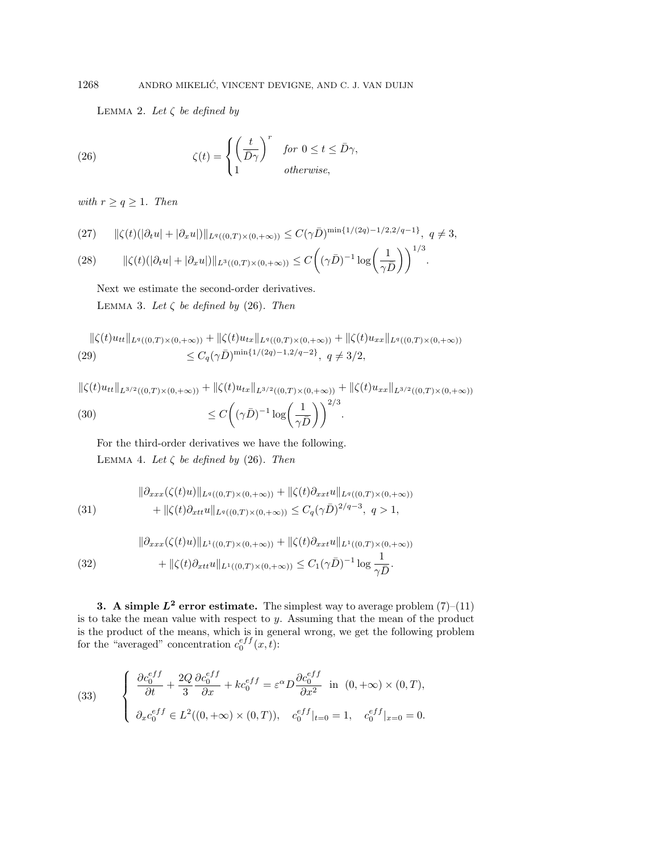LEMMA 2. Let  $\zeta$  be defined by

(26) 
$$
\zeta(t) = \begin{cases} \left(\frac{t}{\bar{D}\gamma}\right)^r & \text{for } 0 \le t \le \bar{D}\gamma, \\ 1 & \text{otherwise,} \end{cases}
$$

with  $r \geq q \geq 1$ . Then

$$
(27) \qquad \|\zeta(t)(|\partial_t u|+|\partial_x u|)\|_{L^q((0,T)\times(0,+\infty))}\leq C(\gamma\bar D)^{\min\{1/(2q)-1/2,2/q-1\}},\ \ q\neq 3,
$$

(28) 
$$
\|\zeta(t)(|\partial_t u| + |\partial_x u|)\|_{L^3((0,T)\times(0,+\infty))} \leq C\bigg((\gamma \bar{D})^{-1} \log\bigg(\frac{1}{\gamma \bar{D}}\bigg)\bigg)^{1/3}.
$$

Next we estimate the second-order derivatives. LEMMA 3. Let  $\zeta$  be defined by (26). Then

$$
\|\zeta(t)u_{tt}\|_{L^q((0,T)\times(0,+\infty))} + \|\zeta(t)u_{tx}\|_{L^q((0,T)\times(0,+\infty))} + \|\zeta(t)u_{xx}\|_{L^q((0,T)\times(0,+\infty))}
$$
  
(29) 
$$
\leq C_q(\gamma\bar{D})^{\min\{1/(2q)-1,2/q-2\}}, q \neq 3/2,
$$

$$
\|\zeta(t)u_{tt}\|_{L^{3/2}((0,T)\times(0,+\infty))} + \|\zeta(t)u_{tx}\|_{L^{3/2}((0,T)\times(0,+\infty))} + \|\zeta(t)u_{xx}\|_{L^{3/2}((0,T)\times(0,+\infty))}
$$
  
(30)  

$$
\leq C\left((\gamma\bar{D})^{-1}\log\left(\frac{1}{\gamma\bar{D}}\right)\right)^{2/3}.
$$

For the third-order derivatives we have the following. LEMMA 4. Let  $\zeta$  be defined by (26). Then

(31) 
$$
\|\partial_{xxx}(\zeta(t)u)\|_{L^q((0,T)\times(0,+\infty))} + \|\zeta(t)\partial_{xxt}u\|_{L^q((0,T)\times(0,+\infty))} + \|\zeta(t)\partial_{xtt}u\|_{L^q((0,T)\times(0,+\infty))} \leq C_q(\gamma\bar{D})^{2/q-3}, q>1,
$$

(32) 
$$
\|\partial_{xxx}(\zeta(t)u)\|_{L^1((0,T)\times(0,+\infty))} + \|\zeta(t)\partial_{xxt}u\|_{L^1((0,T)\times(0,+\infty))} \n+ \|\zeta(t)\partial_{xtt}u\|_{L^1((0,T)\times(0,+\infty))} \leq C_1(\gamma\bar{D})^{-1}\log\frac{1}{\gamma\bar{D}}.
$$

**3.** A simple  $L^2$  error estimate. The simplest way to average problem  $(7)$ – $(11)$ is to take the mean value with respect to y. Assuming that the mean of the product is the product of the means, which is in general wrong, we get the following problem for the "averaged" concentration  $c_0^{eff}(x,t)$ :

(33) 
$$
\begin{cases} \frac{\partial c_0^{eff}}{\partial t} + \frac{2Q}{3} \frac{\partial c_0^{eff}}{\partial x} + kc_0^{eff} = \varepsilon^{\alpha} D \frac{\partial c_0^{eff}}{\partial x^2} \text{ in } (0, +\infty) \times (0, T), \\ \partial_x c_0^{eff} \in L^2((0, +\infty) \times (0, T)), \quad c_0^{eff}|_{t=0} = 1, \quad c_0^{eff}|_{x=0} = 0. \end{cases}
$$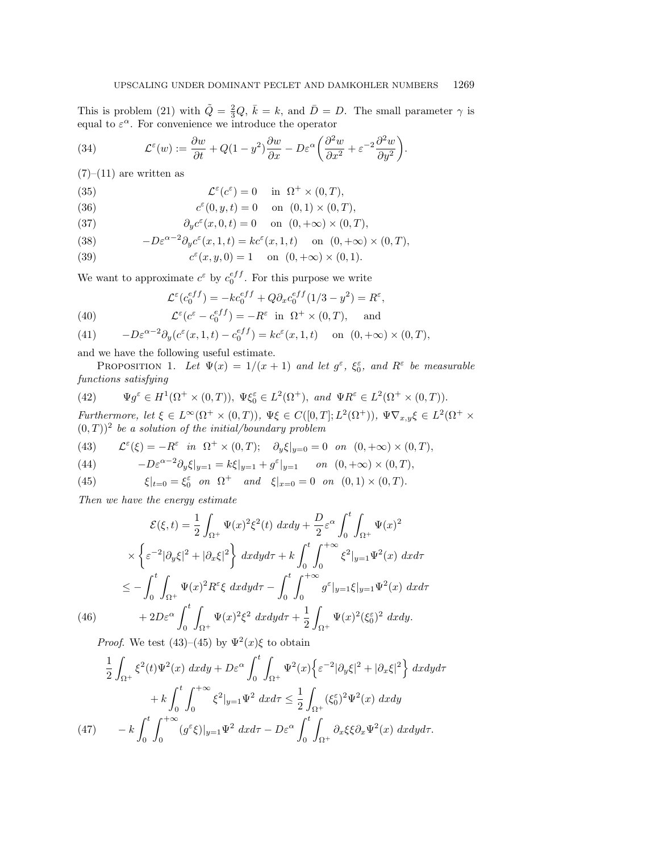This is problem (21) with  $\tilde{Q} = \frac{2}{3}Q$ ,  $\bar{k} = k$ , and  $\bar{D} = D$ . The small parameter  $\gamma$  is equal to  $\varepsilon^{\alpha}$ . For convenience we introduce the operator

(34) 
$$
\mathcal{L}^{\varepsilon}(w) := \frac{\partial w}{\partial t} + Q(1 - y^2) \frac{\partial w}{\partial x} - D\varepsilon^{\alpha} \left( \frac{\partial^2 w}{\partial x^2} + \varepsilon^{-2} \frac{\partial^2 w}{\partial y^2} \right).
$$

 $(7)-(11)$  are written as

(35) 
$$
\mathcal{L}^{\varepsilon}(c^{\varepsilon}) = 0 \quad \text{in} \ \Omega^{+} \times (0, T),
$$

(36) 
$$
c^{\varepsilon}(0, y, t) = 0
$$
 on  $(0, 1) \times (0, T)$ ,

(37) 
$$
\partial_y c^{\varepsilon}(x,0,t) = 0 \quad \text{on } (0,+\infty) \times (0,T),
$$

(38) 
$$
-D\varepsilon^{\alpha-2}\partial_y c^{\varepsilon}(x,1,t) = kc^{\varepsilon}(x,1,t) \quad \text{on } (0,+\infty) \times (0,T),
$$

(39) 
$$
c^{\varepsilon}(x, y, 0) = 1
$$
 on  $(0, +\infty) \times (0, 1)$ .

We want to approximate  $c^{\varepsilon}$  by  $c_0^{eff}$ . For this purpose we write

(40) 
$$
\mathcal{L}^{\varepsilon}(c_0^{eff}) = -kc_0^{eff} + Q\partial_x c_0^{eff} (1/3 - y^2) = R^{\varepsilon},
$$

$$
\mathcal{L}^{\varepsilon}(c^{\varepsilon} - c_0^{eff}) = -R^{\varepsilon} \text{ in } \Omega^{+} \times (0, T), \text{ and}
$$

(41) 
$$
-D\varepsilon^{\alpha-2}\partial_y(c^{\varepsilon}(x,1,t)-c_0^{eff})=kc^{\varepsilon}(x,1,t) \text{ on } (0,+\infty)\times(0,T),
$$

and we have the following useful estimate.

PROPOSITION 1. Let  $\Psi(x) = 1/(x + 1)$  and let  $g^{\varepsilon}$ ,  $\xi_0^{\varepsilon}$ , and  $R^{\varepsilon}$  be measurable functions satisfying

(42) 
$$
\Psi g^{\varepsilon} \in H^{1}(\Omega^{+} \times (0, T)), \Psi \xi_{0}^{\varepsilon} \in L^{2}(\Omega^{+}), \text{ and } \Psi R^{\varepsilon} \in L^{2}(\Omega^{+} \times (0, T)).
$$

Furthermore, let  $\xi \in L^{\infty}(\Omega^{+} \times (0,T)), \ \Psi \xi \in C([0,T]; L^{2}(\Omega^{+})), \ \Psi \nabla_{x,y} \xi \in L^{2}(\Omega^{+} \times$  $(0,T)$ <sup>2</sup> be a solution of the initial/boundary problem

(43) 
$$
\mathcal{L}^{\varepsilon}(\xi) = -R^{\varepsilon} \quad in \quad \Omega^{+} \times (0,T); \quad \partial_{y}\xi|_{y=0} = 0 \quad on \quad (0, +\infty) \times (0,T),
$$

(44) 
$$
-D\varepsilon^{\alpha-2}\partial_y\xi|_{y=1} = k\xi|_{y=1} + g^\varepsilon|_{y=1} \quad on \quad (0, +\infty) \times (0, T),
$$

(45) 
$$
\xi|_{t=0} = \xi_0^{\varepsilon}
$$
 on  $\Omega^+$  and  $\xi|_{x=0} = 0$  on  $(0,1) \times (0,T)$ .

Then we have the energy estimate

$$
\mathcal{E}(\xi, t) = \frac{1}{2} \int_{\Omega^{+}} \Psi(x)^{2} \xi^{2}(t) \, dxdy + \frac{D}{2} \varepsilon^{\alpha} \int_{0}^{t} \int_{\Omega^{+}} \Psi(x)^{2} \times \left\{ \varepsilon^{-2} |\partial_{y}\xi|^{2} + |\partial_{x}\xi|^{2} \right\} dxdy d\tau + k \int_{0}^{t} \int_{0}^{+\infty} \xi^{2} |_{y=1} \Psi^{2}(x) \, dxd\tau
$$
  

$$
\leq - \int_{0}^{t} \int_{\Omega^{+}} \Psi(x)^{2} R^{\varepsilon} \xi \, dxdy d\tau - \int_{0}^{t} \int_{0}^{+\infty} g^{\varepsilon} |_{y=1} \xi |_{y=1} \Psi^{2}(x) \, dxd\tau
$$
  
(46) 
$$
+ 2D \varepsilon^{\alpha} \int_{0}^{t} \int_{\Omega^{+}} \Psi(x)^{2} \xi^{2} \, dxdy d\tau + \frac{1}{2} \int_{\Omega^{+}} \Psi(x)^{2} (\xi_{0}^{\varepsilon})^{2} \, dxdy.
$$

*Proof.* We test (43)–(45) by  $\Psi^2(x)\xi$  to obtain

$$
\frac{1}{2} \int_{\Omega^+} \xi^2(t) \Psi^2(x) \ dx dy + D\varepsilon^{\alpha} \int_0^t \int_{\Omega^+} \Psi^2(x) \left\{ \varepsilon^{-2} |\partial_y \xi|^2 + |\partial_x \xi|^2 \right\} dx dy d\tau
$$

$$
+ k \int_0^t \int_0^{+\infty} \xi^2 |_{y=1} \Psi^2 \ dx d\tau \le \frac{1}{2} \int_{\Omega^+} (\xi_0^{\varepsilon})^2 \Psi^2(x) \ dx dy
$$

$$
(47) \qquad - k \int_0^t \int_0^{+\infty} (\mathcal{G}^{\varepsilon} \xi) |_{y=1} \Psi^2 \ dx d\tau - D\varepsilon^{\alpha} \int_0^t \int_{\Omega^+} \partial_x \xi \xi \partial_x \Psi^2(x) \ dx dy d\tau.
$$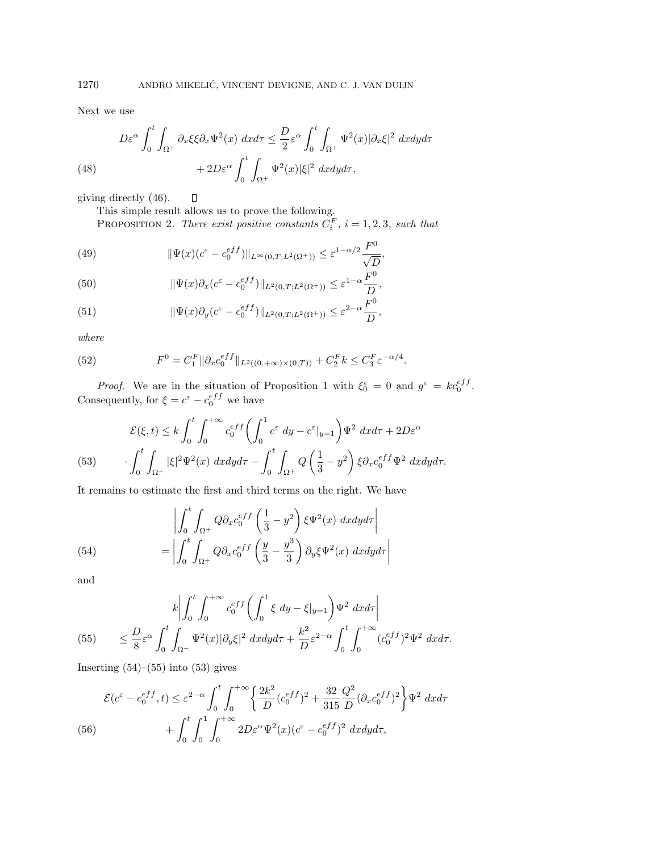Next we use

(48) 
$$
D\varepsilon^{\alpha} \int_{0}^{t} \int_{\Omega^{+}} \partial_{x} \xi \xi \partial_{x} \Psi^{2}(x) dx d\tau \leq \frac{D}{2} \varepsilon^{\alpha} \int_{0}^{t} \int_{\Omega^{+}} \Psi^{2}(x) |\partial_{x} \xi|^{2} dx dy d\tau + 2D\varepsilon^{\alpha} \int_{0}^{t} \int_{\Omega^{+}} \Psi^{2}(x) |\xi|^{2} dx dy d\tau,
$$

giving directly (46).  $\Box$ 

This simple result allows us to prove the following.

PROPOSITION 2. There exist positive constants  $C_i^F$ ,  $i = 1, 2, 3$ , such that

(49) 
$$
\|\Psi(x)(c^{\varepsilon} - c_0^{eff})\|_{L^{\infty}(0,T;L^2(\Omega^+))} \leq \varepsilon^{1-\alpha/2} \frac{F^0}{\sqrt{D}},
$$

(50) 
$$
\|\Psi(x)\partial_x(c^{\varepsilon}-c_0^{eff})\|_{L^2(0,T;L^2(\Omega^+))}\leq \varepsilon^{1-\alpha}\frac{F^0}{D},
$$

(51) 
$$
\|\Psi(x)\partial_y(c^\varepsilon-c_0^{eff})\|_{L^2(0,T;L^2(\Omega^+))}\leq\varepsilon^{2-\alpha}\frac{F^0}{D},
$$

where

(52) 
$$
F^{0} = C_{1}^{F} \|\partial_{x} c_{0}^{eff}\|_{L^{2}((0,+\infty)\times(0,T))} + C_{2}^{F} k \leq C_{3}^{F} \varepsilon^{-\alpha/4}.
$$

*Proof.* We are in the situation of Proposition 1 with  $\xi_0^{\varepsilon} = 0$  and  $g^{\varepsilon} = ke_0^{eff}$ . Consequently, for  $\xi = c^{\varepsilon} - c_0^{eff}$  we have

(53) 
$$
\mathcal{E}(\xi, t) \leq k \int_0^t \int_0^{+\infty} c_0^{eff} \left( \int_0^1 c^{\varepsilon} dy - c^{\varepsilon}|_{y=1} \right) \Psi^2 dx d\tau + 2D\varepsilon^{\alpha} \cdot \int_0^t \int_{\Omega^+} |\xi|^2 \Psi^2(x) dx dy d\tau - \int_0^t \int_{\Omega^+} Q\left(\frac{1}{3} - y^2\right) \xi \partial_x c_0^{eff} \Psi^2 dx dy d\tau.
$$

It remains to estimate the first and third terms on the right. We have

(54)  

$$
\left| \int_0^t \int_{\Omega^+} Q \partial_x c_0^{eff} \left( \frac{1}{3} - y^2 \right) \xi \Psi^2(x) \ dx dy d\tau \right|
$$

$$
= \left| \int_0^t \int_{\Omega^+} Q \partial_x c_0^{eff} \left( \frac{y}{3} - \frac{y^3}{3} \right) \partial_y \xi \Psi^2(x) \ dx dy d\tau \right|
$$

and

(55) 
$$
k \left| \int_0^t \int_0^{+\infty} c_0^{eff} \left( \int_0^1 \xi \, dy - \xi |_{y=1} \right) \Psi^2 \, dx d\tau \right|
$$
  

$$
\leq \frac{D}{8} \varepsilon^{\alpha} \int_0^t \int_{\Omega^+} \Psi^2(x) |\partial_y \xi|^2 \, dx dy d\tau + \frac{k^2}{D} \varepsilon^{2-\alpha} \int_0^t \int_0^{+\infty} (c_0^{eff})^2 \Psi^2 \, dx d\tau.
$$

Inserting  $(54)$ – $(55)$  into  $(53)$  gives

$$
\mathcal{E}(c^{\varepsilon} - c_0^{eff}, t) \le \varepsilon^{2-\alpha} \int_0^t \int_0^{+\infty} \left\{ \frac{2k^2}{D} (c_0^{eff})^2 + \frac{32}{315} \frac{Q^2}{D} (\partial_x c_0^{eff})^2 \right\} \Psi^2 \, dx d\tau
$$
\n
$$
(56) \qquad \qquad + \int_0^t \int_0^1 \int_0^{+\infty} 2D\varepsilon^{\alpha} \Psi^2(x) (c^{\varepsilon} - c_0^{eff})^2 \, dx dy d\tau,
$$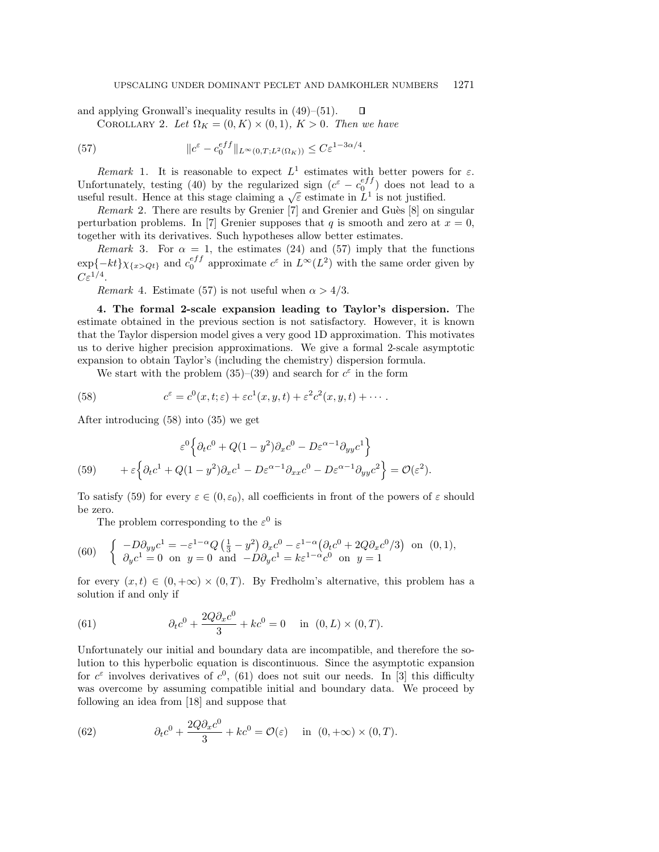and applying Gronwall's inequality results in (49)–(51).  $\Box$ 

COROLLARY 2. Let  $\Omega_K = (0, K) \times (0, 1)$ ,  $K > 0$ . Then we have

(57) 
$$
\|c^{\varepsilon} - c_0^{eff}\|_{L^{\infty}(0,T;L^2(\Omega_K))} \leq C\varepsilon^{1-3\alpha/4}.
$$

Remark 1. It is reasonable to expect  $L^1$  estimates with better powers for  $\varepsilon$ . Unfortunately, testing (40) by the regularized sign  $(c^{\varepsilon} - c_0^{eff})$  does not lead to a useful result. Hence at this stage claiming a  $\sqrt{\varepsilon}$  estimate in  $L^1$  is not justified.

*Remark* 2. There are results by Grenier  $[7]$  and Grenier and Guès  $[8]$  on singular perturbation problems. In [7] Grenier supposes that q is smooth and zero at  $x = 0$ , together with its derivatives. Such hypotheses allow better estimates.

Remark 3. For  $\alpha = 1$ , the estimates (24) and (57) imply that the functions  $\exp{-kt}\chi_{\{x>Qt\}}$  and  $c_0^{eff}$  approximate  $c^{\varepsilon}$  in  $L^{\infty}(L^2)$  with the same order given by  $C\varepsilon^{1/4}$ .

Remark 4. Estimate (57) is not useful when  $\alpha > 4/3$ .

**4. The formal 2-scale expansion leading to Taylor's dispersion.** The estimate obtained in the previous section is not satisfactory. However, it is known that the Taylor dispersion model gives a very good 1D approximation. This motivates us to derive higher precision approximations. We give a formal 2-scale asymptotic expansion to obtain Taylor's (including the chemistry) dispersion formula.

We start with the problem (35)–(39) and search for  $c^{\varepsilon}$  in the form

(58) 
$$
c^{\varepsilon} = c^{0}(x,t;\varepsilon) + \varepsilon c^{1}(x,y,t) + \varepsilon^{2} c^{2}(x,y,t) + \cdots.
$$

After introducing (58) into (35) we get

(59) 
$$
\varepsilon^{0} \Big\{ \partial_{t} c^{0} + Q(1 - y^{2}) \partial_{x} c^{0} - D \varepsilon^{\alpha - 1} \partial_{yy} c^{1} \Big\} + \varepsilon \Big\{ \partial_{t} c^{1} + Q(1 - y^{2}) \partial_{x} c^{1} - D \varepsilon^{\alpha - 1} \partial_{xx} c^{0} - D \varepsilon^{\alpha - 1} \partial_{yy} c^{2} \Big\} = \mathcal{O}(\varepsilon^{2}).
$$

To satisfy (59) for every  $\varepsilon \in (0, \varepsilon_0)$ , all coefficients in front of the powers of  $\varepsilon$  should be zero.

The problem corresponding to the  $\varepsilon^0$  is

(60) 
$$
\begin{cases}\n-D\partial_{yy}c^1 = -\varepsilon^{1-\alpha}Q\left(\frac{1}{3} - y^2\right)\partial_x c^0 - \varepsilon^{1-\alpha}\left(\partial_t c^0 + 2Q\partial_x c^0/3\right) & \text{on } (0,1), \\
\partial_y c^1 = 0 & \text{on } y = 0 \text{ and } -D\partial_y c^1 = k\varepsilon^{1-\alpha}c^0 & \text{on } y = 1\n\end{cases}
$$

for every  $(x,t) \in (0,+\infty) \times (0,T)$ . By Fredholm's alternative, this problem has a solution if and only if

(61) 
$$
\partial_t c^0 + \frac{2Q\partial_x c^0}{3} + kc^0 = 0 \quad \text{in} \ (0, L) \times (0, T).
$$

Unfortunately our initial and boundary data are incompatible, and therefore the solution to this hyperbolic equation is discontinuous. Since the asymptotic expansion for  $c^{\epsilon}$  involves derivatives of  $c^{0}$ , (61) does not suit our needs. In [3] this difficulty was overcome by assuming compatible initial and boundary data. We proceed by following an idea from [18] and suppose that

(62) 
$$
\partial_t c^0 + \frac{2Q\partial_x c^0}{3} + kc^0 = \mathcal{O}(\varepsilon) \quad \text{in} \quad (0, +\infty) \times (0, T).
$$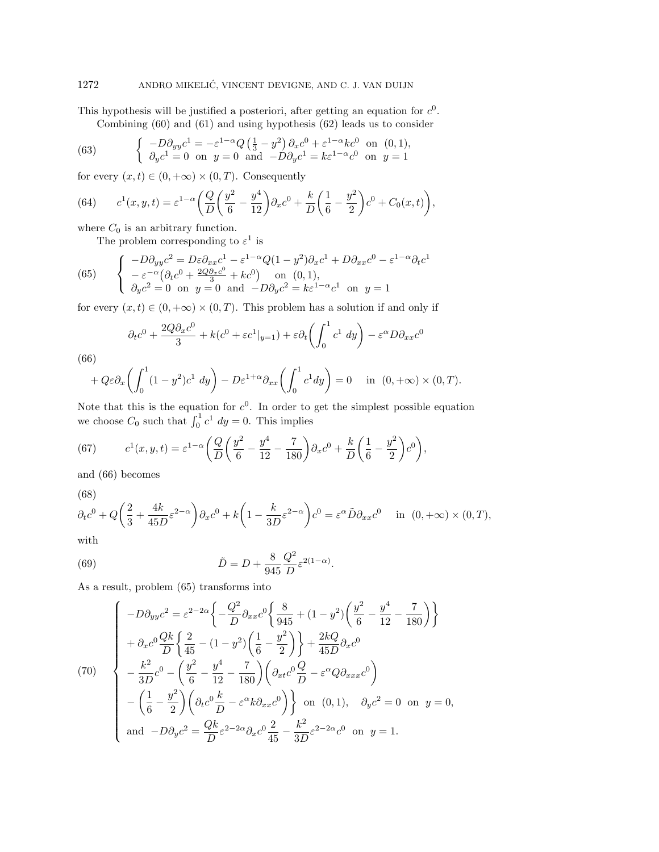This hypothesis will be justified a posteriori, after getting an equation for  $c^0$ . Combining (60) and (61) and using hypothesis (62) leads us to consider

(63) 
$$
\begin{cases}\n-D\partial_{yy}c^{1} = -\varepsilon^{1-\alpha}Q\left(\frac{1}{3} - y^{2}\right)\partial_{x}c^{0} + \varepsilon^{1-\alpha}kc^{0} & \text{on } (0,1), \\
\partial_{y}c^{1} = 0 & \text{on } y = 0 \text{ and } -D\partial_{y}c^{1} = k\varepsilon^{1-\alpha}c^{0} & \text{on } y = 1\n\end{cases}
$$

for every  $(x, t) \in (0, +\infty) \times (0, T)$ . Consequently

(64) 
$$
c^{1}(x, y, t) = \varepsilon^{1-\alpha} \left( \frac{Q}{D} \left( \frac{y^{2}}{6} - \frac{y^{4}}{12} \right) \partial_{x} c^{0} + \frac{k}{D} \left( \frac{1}{6} - \frac{y^{2}}{2} \right) c^{0} + C_{0}(x, t) \right),
$$

where  $C_0$  is an arbitrary function.

The problem corresponding to  $\varepsilon^1$  is

(65) 
$$
\begin{cases}\n-D\partial_{yy}c^2 = D\varepsilon\partial_{xx}c^1 - \varepsilon^{1-\alpha}Q(1-y^2)\partial_{x}c^1 + D\partial_{xx}c^0 - \varepsilon^{1-\alpha}\partial_{t}c^1 \\
-\varepsilon^{-\alpha}\left(\partial_{t}c^0 + \frac{2Q\partial_{x}c^0}{3} + kc^0\right) \text{ on } (0,1), \\
\partial_{y}c^2 = 0 \text{ on } y = 0 \text{ and } -D\partial_{y}c^2 = k\varepsilon^{1-\alpha}c^1 \text{ on } y = 1\n\end{cases}
$$

for every  $(x, t) \in (0, +\infty) \times (0, T)$ . This problem has a solution if and only if

$$
\partial_t c^0 + \frac{2Q\partial_x c^0}{3} + k(c^0 + \varepsilon c^1|_{y=1}) + \varepsilon \partial_t \left( \int_0^1 c^1 dy \right) - \varepsilon^{\alpha} D\partial_{xx} c^0
$$

(66)

$$
+Q\varepsilon\partial_x\left(\int_0^1(1-y^2)c^1\ dy\right)-D\varepsilon^{1+\alpha}\partial_{xx}\left(\int_0^1c^1dy\right)=0\quad\text{in }(0,+\infty)\times(0,T).
$$

Note that this is the equation for  $c^0$ . In order to get the simplest possible equation we choose  $C_0$  such that  $\int_0^1 c^1 dy = 0$ . This implies

(67) 
$$
c^{1}(x, y, t) = \varepsilon^{1-\alpha} \left( \frac{Q}{D} \left( \frac{y^{2}}{6} - \frac{y^{4}}{12} - \frac{7}{180} \right) \partial_{x} c^{0} + \frac{k}{D} \left( \frac{1}{6} - \frac{y^{2}}{2} \right) c^{0} \right),
$$

and (66) becomes

(68)

$$
\partial_t c^0 + Q\left(\frac{2}{3} + \frac{4k}{45D}\varepsilon^{2-\alpha}\right)\partial_x c^0 + k\left(1 - \frac{k}{3D}\varepsilon^{2-\alpha}\right)c^0 = \varepsilon^\alpha \tilde{D}\partial_{xx} c^0 \quad \text{in } (0, +\infty) \times (0, T),
$$

with

(69) 
$$
\tilde{D} = D + \frac{8}{945} \frac{Q^2}{D} \varepsilon^{2(1-\alpha)}.
$$

As a result, problem (65) transforms into

$$
(70) \begin{cases}\n-D\partial_{yy}c^{2} = \varepsilon^{2-2\alpha}\left\{-\frac{Q^{2}}{D}\partial_{xx}c^{0}\left\{\frac{8}{945} + (1-y^{2})\left(\frac{y^{2}}{6} - \frac{y^{4}}{12} - \frac{7}{180}\right)\right\} \right. \\
+\left. \partial_{x}c^{0}\frac{Qk}{D}\left\{\frac{2}{45} - (1-y^{2})\left(\frac{1}{6} - \frac{y^{2}}{2}\right)\right\} + \frac{2kQ}{45D}\partial_{x}c^{0} \\
-\frac{k^{2}}{3D}c^{0} - \left(\frac{y^{2}}{6} - \frac{y^{4}}{12} - \frac{7}{180}\right)\left(\partial_{xt}c^{0}\frac{Q}{D} - \varepsilon^{\alpha}Q\partial_{xxx}c^{0}\right) \\
-\left(\frac{1}{6} - \frac{y^{2}}{2}\right)\left(\partial_{t}c^{0}\frac{k}{D} - \varepsilon^{\alpha}k\partial_{xx}c^{0}\right)\right\} \text{ on } (0,1), \quad \partial_{y}c^{2} = 0 \text{ on } y = 0, \\
\text{and } -D\partial_{y}c^{2} = \frac{Qk}{D}\varepsilon^{2-2\alpha}\partial_{x}c^{0}\frac{2}{45} - \frac{k^{2}}{3D}\varepsilon^{2-2\alpha}c^{0} \text{ on } y = 1.\n\end{cases}
$$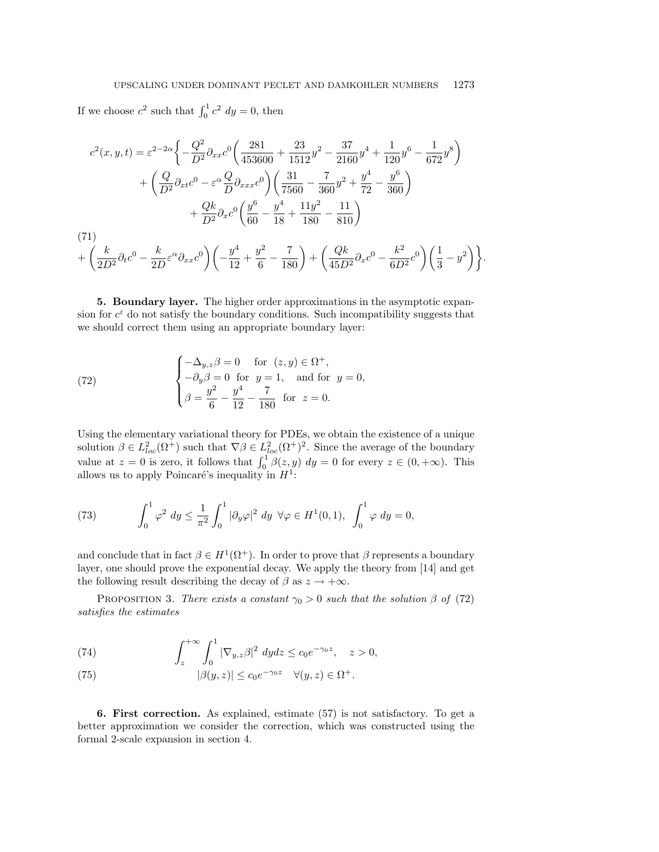If we choose  $c^2$  such that  $\int_0^1 c^2 dy = 0$ , then

$$
c^{2}(x, y, t) = \varepsilon^{2-2\alpha} \left\{ -\frac{Q^{2}}{D^{2}} \partial_{xx} c^{0} \left( \frac{281}{453600} + \frac{23}{1512} y^{2} - \frac{37}{2160} y^{4} + \frac{1}{120} y^{6} - \frac{1}{672} y^{8} \right) \right. \\
\left. + \left( \frac{Q}{D^{2}} \partial_{xt} c^{0} - \varepsilon^{\alpha} \frac{Q}{D} \partial_{xxx} c^{0} \right) \left( \frac{31}{7560} - \frac{7}{360} y^{2} + \frac{y^{4}}{72} - \frac{y^{6}}{360} \right) \right. \\
\left. + \frac{Qk}{D^{2}} \partial_{x} c^{0} \left( \frac{y^{6}}{60} - \frac{y^{4}}{18} + \frac{11y^{2}}{180} - \frac{11}{810} \right) \\
\left. (71) \\
+ \left( \frac{k}{2D^{2}} \partial_{t} c^{0} - \frac{k}{2D} \varepsilon^{\alpha} \partial_{xx} c^{0} \right) \left( -\frac{y^{4}}{12} + \frac{y^{2}}{6} - \frac{7}{180} \right) + \left( \frac{Qk}{45D^{2}} \partial_{x} c^{0} - \frac{k^{2}}{6D^{2}} c^{0} \right) \left( \frac{1}{3} - y^{2} \right) \right\}.
$$

**5. Boundary layer.** The higher order approximations in the asymptotic expansion for  $c^{\varepsilon}$  do not satisfy the boundary conditions. Such incompatibility suggests that we should correct them using an appropriate boundary layer:

(72) 
$$
\begin{cases}\n-\Delta_{y,z}\beta = 0 & \text{for } (z,y) \in \Omega^+, \\
-\partial_y \beta = 0 & \text{for } y = 1, \text{ and for } y = 0, \\
\beta = \frac{y^2}{6} - \frac{y^4}{12} - \frac{7}{180} & \text{for } z = 0.\n\end{cases}
$$

Using the elementary variational theory for PDEs, we obtain the existence of a unique solution  $\beta \in L^2_{loc}(\Omega^+)$  such that  $\nabla \beta \in L^2_{loc}(\Omega^+)^2$ . Since the average of the boundary value at  $z = 0$  is zero, it follows that  $\int_0^1 \beta(z, y) dy = 0$  for every  $z \in (0, +\infty)$ . This allows us to apply Poincaré's inequality in  $H^1$ :

(73) 
$$
\int_0^1 \varphi^2 dy \le \frac{1}{\pi^2} \int_0^1 |\partial_y \varphi|^2 dy \ \forall \varphi \in H^1(0,1), \ \int_0^1 \varphi dy = 0,
$$

and conclude that in fact  $\beta \in H^1(\Omega^+)$ . In order to prove that  $\beta$  represents a boundary layer, one should prove the exponential decay. We apply the theory from [14] and get the following result describing the decay of  $\beta$  as  $z \to +\infty$ .

PROPOSITION 3. There exists a constant  $\gamma_0 > 0$  such that the solution  $\beta$  of (72) satisfies the estimates

(74) 
$$
\int_{z}^{+\infty} \int_{0}^{1} |\nabla_{y,z}\beta|^2 dydz \le c_0 e^{-\gamma_0 z}, \quad z > 0,
$$

(75) 
$$
|\beta(y, z)| \le c_0 e^{-\gamma_0 z} \quad \forall (y, z) \in \Omega^+.
$$

**6. First correction.** As explained, estimate (57) is not satisfactory. To get a better approximation we consider the correction, which was constructed using the formal 2-scale expansion in section 4.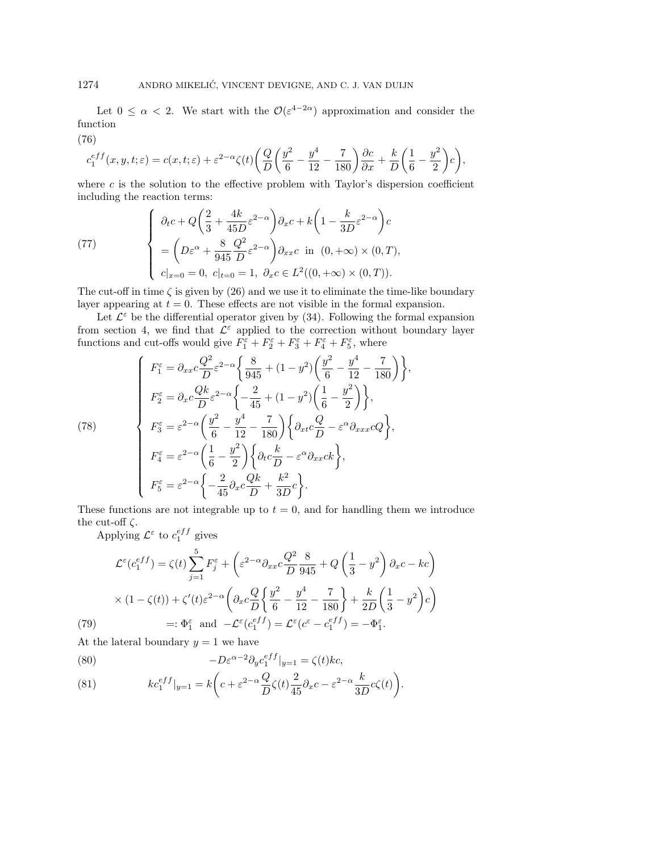Let  $0 \leq \alpha < 2$ . We start with the  $\mathcal{O}(\varepsilon^{4-2\alpha})$  approximation and consider the function

$$
c_{1}^{eff}(x,y,t;\varepsilon)=c(x,t;\varepsilon)+\varepsilon^{2-\alpha}\zeta(t)\bigg(\frac{Q}{D}\bigg(\frac{y^{2}}{6}-\frac{y^{4}}{12}-\frac{7}{180}\bigg)\frac{\partial c}{\partial x}+\frac{k}{D}\bigg(\frac{1}{6}-\frac{y^{2}}{2}\bigg)c\bigg),
$$

where  $c$  is the solution to the effective problem with Taylor's dispersion coefficient including the reaction terms:

(77) 
$$
\begin{cases} \n\partial_t c + Q \left( \frac{2}{3} + \frac{4k}{45D} \varepsilon^{2-\alpha} \right) \partial_x c + k \left( 1 - \frac{k}{3D} \varepsilon^{2-\alpha} \right) c \\
= \left( D\varepsilon^{\alpha} + \frac{8}{945} \frac{Q^2}{D} \varepsilon^{2-\alpha} \right) \partial_{xx} c \text{ in } (0, +\infty) \times (0, T), \\
c|_{x=0} = 0, \ c|_{t=0} = 1, \ \partial_x c \in L^2((0, +\infty) \times (0, T)).\n\end{cases}
$$

The cut-off in time  $\zeta$  is given by (26) and we use it to eliminate the time-like boundary layer appearing at  $t = 0$ . These effects are not visible in the formal expansion.

Let  $\mathcal{L}^{\varepsilon}$  be the differential operator given by (34). Following the formal expansion from section 4, we find that  $\mathcal{L}^{\varepsilon}$  applied to the correction without boundary layer functions and cut-offs would give  $F_1^{\varepsilon} + F_2^{\varepsilon} + F_3^{\varepsilon} + F_4^{\varepsilon} + F_5^{\varepsilon}$ , where

(78)  
\n
$$
\begin{cases}\nF_1^{\varepsilon} = \partial_{xx}c\frac{Q^2}{D}\varepsilon^{2-\alpha}\left\{\frac{8}{945} + (1-y^2)\left(\frac{y^2}{6} - \frac{y^4}{12} - \frac{7}{180}\right)\right\}, \\
F_2^{\varepsilon} = \partial_{x}c\frac{Qk}{D}\varepsilon^{2-\alpha}\left\{-\frac{2}{45} + (1-y^2)\left(\frac{1}{6} - \frac{y^2}{2}\right)\right\}, \\
F_3^{\varepsilon} = \varepsilon^{2-\alpha}\left(\frac{y^2}{6} - \frac{y^4}{12} - \frac{7}{180}\right)\left\{\partial_{xt}c\frac{Q}{D} - \varepsilon^{\alpha}\partial_{xxx}cQ\right\}, \\
F_4^{\varepsilon} = \varepsilon^{2-\alpha}\left(\frac{1}{6} - \frac{y^2}{2}\right)\left\{\partial_{t}c\frac{k}{D} - \varepsilon^{\alpha}\partial_{xx}ck\right\}, \\
F_5^{\varepsilon} = \varepsilon^{2-\alpha}\left\{-\frac{2}{45}\partial_{x}c\frac{Qk}{D} + \frac{k^2}{3D}c\right\}.\n\end{cases}
$$

These functions are not integrable up to  $t = 0$ , and for handling them we introduce the cut-off  $\zeta$ .

Applying  $\mathcal{L}^{\varepsilon}$  to  $c_1^{eff}$  gives

(76)

$$
\mathcal{L}^{\varepsilon}(c_1^{eff}) = \zeta(t) \sum_{j=1}^{5} F_j^{\varepsilon} + \left(\varepsilon^{2-\alpha} \partial_{xx} c \frac{Q^2}{D} \frac{8}{945} + Q\left(\frac{1}{3} - y^2\right) \partial_x c - kc\right)
$$

$$
\times (1 - \zeta(t)) + \zeta'(t) \varepsilon^{2-\alpha} \left(\partial_x c \frac{Q}{D} \left\{\frac{y^2}{6} - \frac{y^4}{12} - \frac{7}{180}\right\} + \frac{k}{2D} \left(\frac{1}{3} - y^2\right) c\right)
$$

$$
=:\Phi_1^{\varepsilon} \text{ and } -\mathcal{L}^{\varepsilon}(c_1^{eff}) = \mathcal{L}^{\varepsilon}(c^{\varepsilon} - c_1^{eff}) = -\Phi_1^{\varepsilon}.
$$

At the lateral boundary  $y = 1$  we have

(80) 
$$
-D\varepsilon^{\alpha-2}\partial_y c_1^{eff}|_{y=1} = \zeta(t)kc,
$$

(81) 
$$
kc_1^{eff}|_{y=1} = k\left(c + \varepsilon^{2-\alpha}\frac{Q}{D}\zeta(t)\frac{2}{45}\partial_x c - \varepsilon^{2-\alpha}\frac{k}{3D}c\zeta(t)\right).
$$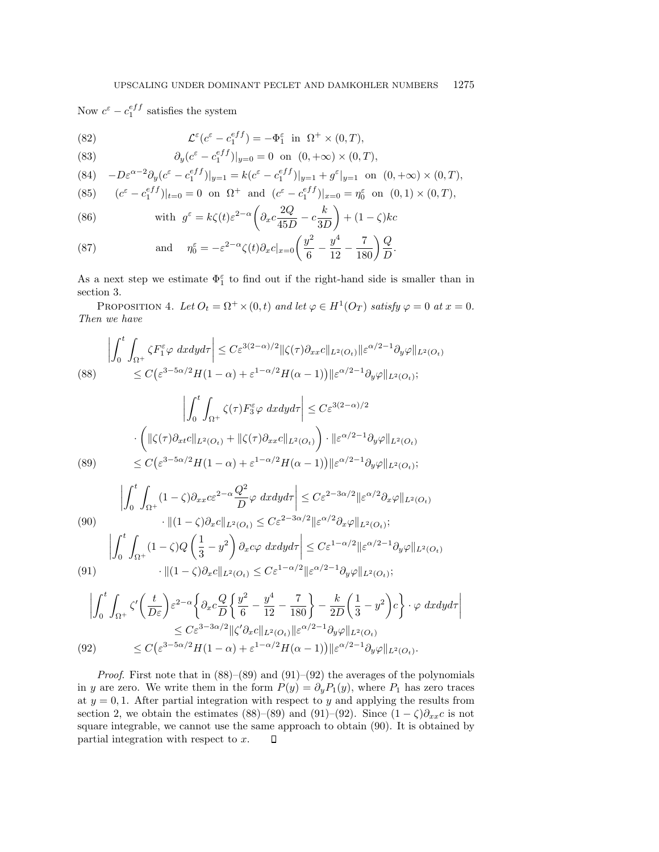Now  $c^{\varepsilon} - c_1^{eff}$  satisfies the system

(82) 
$$
\mathcal{L}^{\varepsilon}(c^{\varepsilon} - c_1^{eff}) = -\Phi_1^{\varepsilon} \text{ in } \Omega^+ \times (0,T),
$$

(83) 
$$
\partial_y (c^{\varepsilon} - c_1^{eff})|_{y=0} = 0 \text{ on } (0, +\infty) \times (0, T),
$$

$$
(84) \quad -D\varepsilon^{\alpha-2}\partial_y(c^{\varepsilon}-c_1^{eff})|_{y=1} = k(c^{\varepsilon}-c_1^{eff})|_{y=1} + g^{\varepsilon}|_{y=1} \text{ on } (0,+\infty) \times (0,T),
$$

(85) 
$$
(c^{\varepsilon} - c_1^{eff})|_{t=0} = 0
$$
 on  $\Omega^+$  and  $(c^{\varepsilon} - c_1^{eff})|_{x=0} = \eta_0^{\varepsilon}$  on  $(0,1) \times (0,T)$ ,

(86) with 
$$
g^{\varepsilon} = k\zeta(t)\varepsilon^{2-\alpha} \left(\partial_x c \frac{2Q}{45D} - c \frac{k}{3D}\right) + (1-\zeta)kc
$$

(87) and 
$$
\eta_0^{\varepsilon} = -\varepsilon^{2-\alpha} \zeta(t) \partial_x c|_{x=0} \left( \frac{y^2}{6} - \frac{y^4}{12} - \frac{7}{180} \right) \frac{Q}{D}.
$$

As a next step we estimate  $\Phi_1^{\varepsilon}$  to find out if the right-hand side is smaller than in section 3.

PROPOSITION 4. Let  $O_t = \Omega^+ \times (0, t)$  and let  $\varphi \in H^1(O_T)$  satisfy  $\varphi = 0$  at  $x = 0$ . Then we have

$$
\left| \int_{0}^{t} \int_{\Omega^{+}} \zeta F_{1}^{\varepsilon} \varphi \, dxdy d\tau \right| \leq C \varepsilon^{3(2-\alpha)/2} \|\zeta(\tau) \partial_{xx} c\|_{L^{2}(O_{t})} \|\varepsilon^{\alpha/2-1} \partial_{y} \varphi\|_{L^{2}(O_{t})}
$$
\n
$$
\leq C \big(\varepsilon^{3-5\alpha/2} H(1-\alpha) + \varepsilon^{1-\alpha/2} H(\alpha-1) \big) \|\varepsilon^{\alpha/2-1} \partial_{y} \varphi\|_{L^{2}(O_{t})};
$$
\n
$$
\left| \int_{0}^{t} \int_{\Omega^{+}} \zeta(\tau) F_{3}^{\varepsilon} \varphi \, dxdy d\tau \right| \leq C \varepsilon^{3(2-\alpha)/2}
$$
\n
$$
\cdot \left( \|\zeta(\tau) \partial_{xt} c\|_{L^{2}(O_{t})} + \|\zeta(\tau) \partial_{xx} c\|_{L^{2}(O_{t})} \right) \cdot \|\varepsilon^{\alpha/2-1} \partial_{y} \varphi\|_{L^{2}(O_{t})}
$$
\n
$$
\leq C \big(\varepsilon^{3-5\alpha/2} H(1-\alpha) + \varepsilon^{1-\alpha/2} H(\alpha-1) \big) \|\varepsilon^{\alpha/2-1} \partial_{y} \varphi\|_{L^{2}(O_{t})};
$$
\n
$$
\left| \int_{0}^{t} \int_{\Omega^{+}} (1-\zeta) \partial_{xx} c \varepsilon^{2-\alpha} \frac{Q^{2}}{D} \varphi \, dxdy d\tau \right| \leq C \varepsilon^{2-3\alpha/2} \|\varepsilon^{\alpha/2} \partial_{x} \varphi\|_{L^{2}(O_{t})};
$$
\n
$$
\left| \int_{0}^{t} \int_{\Omega^{+}} (1-\zeta) \partial_{x} c\|_{L^{2}(O_{t})} \leq C \varepsilon^{2-3\alpha/2} \|\varepsilon^{\alpha/2} \partial_{x} \varphi\|_{L^{2}(O_{t})};
$$
\n
$$
\left| \int_{0}^{t} \int_{\Omega^{+}} (1-\zeta) Q \left( \frac{1}{3} - y^{2} \right) \partial_{x} c\varphi \, dxdy
$$

(91) 
$$
\cdot \|(1-\zeta)\partial_x c\|_{L^2(O_t)} \leq C\varepsilon^{1-\alpha/2} \|\varepsilon^{\alpha/2-1}\partial_y \varphi\|_{L^2(O_t)};
$$

$$
\left| \int_0^t \int_{\Omega^+} \zeta' \left( \frac{t}{D\varepsilon} \right) \varepsilon^{2-\alpha} \left\{ \partial_x c \frac{Q}{D} \left\{ \frac{y^2}{6} - \frac{y^4}{12} - \frac{7}{180} \right\} - \frac{k}{2D} \left( \frac{1}{3} - y^2 \right) c \right\} \cdot \varphi \ dx dy d\tau \right|
$$
  
\n
$$
\leq C \varepsilon^{3-3\alpha/2} \| \zeta' \partial_x c \|_{L^2(O_t)} \| \varepsilon^{\alpha/2-1} \partial_y \varphi \|_{L^2(O_t)}
$$
  
\n
$$
(92) \qquad \leq C \left( \varepsilon^{3-5\alpha/2} H(1-\alpha) + \varepsilon^{1-\alpha/2} H(\alpha-1) \right) \| \varepsilon^{\alpha/2-1} \partial_y \varphi \|_{L^2(O_t)}.
$$

*Proof.* First note that in  $(88)$ – $(89)$  and  $(91)$ – $(92)$  the averages of the polynomials in y are zero. We write them in the form  $P(y) = \partial_y P_1(y)$ , where  $P_1$  has zero traces at  $y = 0, 1$ . After partial integration with respect to y and applying the results from section 2, we obtain the estimates (88)–(89) and (91)–(92). Since  $(1 - \zeta)\partial_{xx}c$  is not square integrable, we cannot use the same approach to obtain (90). It is obtained by partial integration with respect to x. $\Box$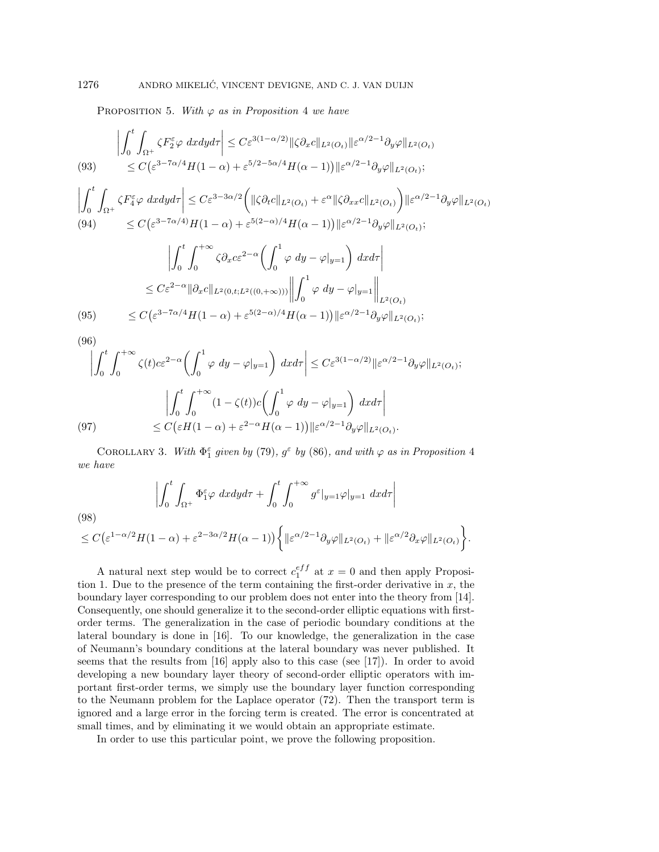PROPOSITION 5. With  $\varphi$  as in Proposition 4 we have

(93) 
$$
\left| \int_0^t \int_{\Omega^+} \zeta F_2^{\varepsilon} \varphi \, dx dy d\tau \right| \leq C \varepsilon^{3(1-\alpha/2)} \| \zeta \partial_x c \|_{L^2(O_t)} \| \varepsilon^{\alpha/2-1} \partial_y \varphi \|_{L^2(O_t)}
$$
  

$$
\leq C \big( \varepsilon^{3-7\alpha/4} H(1-\alpha) + \varepsilon^{5/2-5\alpha/4} H(\alpha-1) \big) \| \varepsilon^{\alpha/2-1} \partial_y \varphi \|_{L^2(O_t)};
$$

$$
\left| \int_{0}^{t} \int_{\Omega^{+}} \zeta F_{4}^{\varepsilon} \varphi \, dxdy d\tau \right| \leq C \varepsilon^{3-3\alpha/2} \left( \| \zeta \partial_{t} c \|_{L^{2}(O_{t})} + \varepsilon^{\alpha} \| \zeta \partial_{xx} c \|_{L^{2}(O_{t})} \right) \| \varepsilon^{\alpha/2-1} \partial_{y} \varphi \|_{L^{2}(O_{t})}
$$
\n
$$
(94) \leq C \left( \varepsilon^{3-7\alpha/4} \right) H(1-\alpha) + \varepsilon^{5(2-\alpha)/4} H(\alpha-1) \| \varepsilon^{\alpha/2-1} \partial_{y} \varphi \|_{L^{2}(O_{t})};
$$

$$
\left| \int_0^t \int_0^{+\infty} \zeta \partial_x c \varepsilon^{2-\alpha} \left( \int_0^1 \varphi \, dy - \varphi|_{y=1} \right) dx d\tau \right|
$$
  

$$
\leq C \varepsilon^{2-\alpha} \|\partial_x c\|_{L^2(0,t;L^2((0,+\infty)))} \left\| \int_0^1 \varphi \, dy - \varphi|_{y=1} \right\|_{L^2(O_t)}
$$
  
(95) 
$$
\leq C \left( \varepsilon^{3-7\alpha/4} H(1-\alpha) + \varepsilon^{5(2-\alpha)/4} H(\alpha-1) \right) \|\varepsilon^{\alpha/2-1} \partial_y \varphi\|_{L^2(O_t)};
$$

(96)

$$
\left| \int_{0}^{t} \int_{0}^{+\infty} \zeta(t) c \varepsilon^{2-\alpha} \left( \int_{0}^{1} \varphi \, dy - \varphi|_{y=1} \right) dx d\tau \right| \leq C \varepsilon^{3(1-\alpha/2)} \| \varepsilon^{\alpha/2-1} \partial_{y} \varphi \|_{L^{2}(O_{t})};
$$

$$
\left| \int_{0}^{t} \int_{0}^{+\infty} (1 - \zeta(t)) c \left( \int_{0}^{1} \varphi \, dy - \varphi|_{y=1} \right) dx d\tau \right|
$$

$$
\leq C \big( \varepsilon H(1-\alpha) + \varepsilon^{2-\alpha} H(\alpha-1) \big) \| \varepsilon^{\alpha/2-1} \partial_{y} \varphi \|_{L^{2}(O_{t})}.
$$

COROLLARY 3. With  $\Phi_1^{\varepsilon}$  given by (79),  $g^{\varepsilon}$  by (86), and with  $\varphi$  as in Proposition 4 we have

$$
\left| \int_0^t \int_{\Omega^+} \Phi_1^\varepsilon \varphi \, dx dy d\tau + \int_0^t \int_0^{+\infty} g^\varepsilon |_{y=1} \varphi|_{y=1} \, dx d\tau \right|
$$
\n
$$
\leq C \big( \varepsilon^{1-\alpha/2} H(1-\alpha) + \varepsilon^{2-3\alpha/2} H(\alpha-1) \big) \bigg\{ \| \varepsilon^{\alpha/2-1} \partial_y \varphi \|_{L^2(O_t)} + \| \varepsilon^{\alpha/2} \partial_x \varphi \|_{L^2(O_t)} \bigg\}.
$$

A natural next step would be to correct  $c_1^{eff}$  at  $x = 0$  and then apply Proposition 1. Due to the presence of the term containing the first-order derivative in  $x$ , the boundary layer corresponding to our problem does not enter into the theory from [14]. Consequently, one should generalize it to the second-order elliptic equations with firstorder terms. The generalization in the case of periodic boundary conditions at the lateral boundary is done in [16]. To our knowledge, the generalization in the case of Neumann's boundary conditions at the lateral boundary was never published. It seems that the results from  $[16]$  apply also to this case (see [17]). In order to avoid developing a new boundary layer theory of second-order elliptic operators with important first-order terms, we simply use the boundary layer function corresponding to the Neumann problem for the Laplace operator (72). Then the transport term is ignored and a large error in the forcing term is created. The error is concentrated at small times, and by eliminating it we would obtain an appropriate estimate.

In order to use this particular point, we prove the following proposition.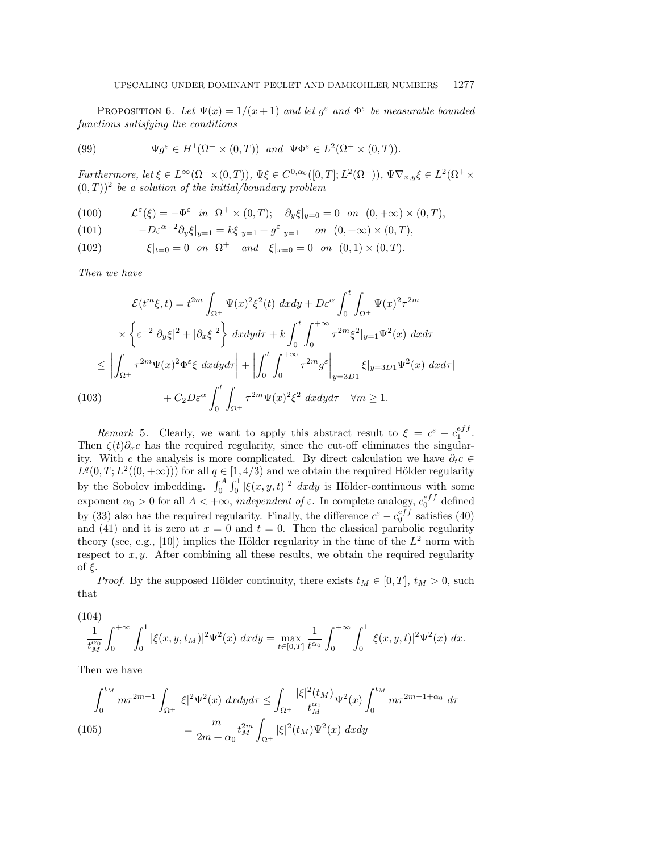PROPOSITION 6. Let  $\Psi(x)=1/(x+1)$  and let  $g^{\varepsilon}$  and  $\Phi^{\varepsilon}$  be measurable bounded functions satisfying the conditions

(99) 
$$
\Psi g^{\varepsilon} \in H^{1}(\Omega^{+} \times (0,T)) \text{ and } \Psi \Phi^{\varepsilon} \in L^{2}(\Omega^{+} \times (0,T)).
$$

Furthermore, let  $\xi \in L^{\infty}(\Omega^{+} \times (0,T))$ ,  $\Psi \xi \in C^{0,\alpha_{0}}([0,T];L^{2}(\Omega^{+}))$ ,  $\Psi \nabla_{x,y}\xi \in L^{2}(\Omega^{+} \times$  $(0,T)$ <sup>2</sup> be a solution of the initial/boundary problem

(100) 
$$
\mathcal{L}^{\varepsilon}(\xi) = -\Phi^{\varepsilon} \quad in \quad \Omega^{+} \times (0,T); \quad \partial_{y}\xi|_{y=0} = 0 \quad on \quad (0,+\infty) \times (0,T),
$$

(101) 
$$
-D\varepsilon^{\alpha-2}\partial_y \xi|_{y=1} = k\xi|_{y=1} + g^{\varepsilon}|_{y=1} \quad on \ (0, +\infty) \times (0, T),
$$

(102)  $\xi|_{t=0} = 0$  on  $\Omega^+$  and  $\xi|_{x=0} = 0$  on  $(0, 1) \times (0, T)$ .

Then we have

$$
\mathcal{E}(t^m \xi, t) = t^{2m} \int_{\Omega^+} \Psi(x)^2 \xi^2(t) dx dy + D\varepsilon^{\alpha} \int_0^t \int_{\Omega^+} \Psi(x)^2 \tau^{2m}
$$
  

$$
\times \left\{ \varepsilon^{-2} |\partial_y \xi|^2 + |\partial_x \xi|^2 \right\} dx dy d\tau + k \int_0^t \int_0^{+\infty} \tau^{2m} \xi^2 |_{y=1} \Psi^2(x) dx d\tau
$$
  

$$
\leq \left| \int_{\Omega^+} \tau^{2m} \Psi(x)^2 \Phi^\varepsilon \xi dx dy d\tau \right| + \left| \int_0^t \int_0^{+\infty} \tau^{2m} g^\varepsilon \right|_{y=3D1} \xi |_{y=3D1} \Psi^2(x) dx d\tau |
$$
  
(103) 
$$
+ C_2 D\varepsilon^{\alpha} \int_0^t \int_{\Omega^+} \tau^{2m} \Psi(x)^2 \xi^2 dx dy d\tau \quad \forall m \geq 1.
$$

Remark 5. Clearly, we want to apply this abstract result to  $\xi = c^{\varepsilon} - c_1^{eff}$ . Then  $\zeta(t)\partial_x c$  has the required regularity, since the cut-off eliminates the singularity. With c the analysis is more complicated. By direct calculation we have  $\partial_t c \in$  $L^{q}(0, T; L^{2}((0, +\infty)))$  for all  $q \in [1, 4/3)$  and we obtain the required Hölder regularity by the Sobolev imbedding.  $\int_0^A \int_0^1 |\xi(x, y, t)|^2 dx dy$  is Hölder-continuous with some exponent  $\alpha_0 > 0$  for all  $A < +\infty$ , *independent of*  $\varepsilon$ . In complete analogy,  $c_0^{eff}$  defined by (33) also has the required regularity. Finally, the difference  $c^{\varepsilon} - c_0^{eff}$  satisfies (40) and (41) and it is zero at  $x = 0$  and  $t = 0$ . Then the classical parabolic regularity theory (see, e.g., [10]) implies the Hölder regularity in the time of the  $L^2$  norm with respect to  $x, y$ . After combining all these results, we obtain the required regularity of ξ.

*Proof.* By the supposed Hölder continuity, there exists  $t_M \in [0, T]$ ,  $t_M > 0$ , such that

(104)  

$$
\frac{1}{t_M^{\alpha_0}} \int_0^{+\infty} \int_0^1 |\xi(x, y, t_M)|^2 \Psi^2(x) dx dy = \max_{t \in [0, T]} \frac{1}{t^{\alpha_0}} \int_0^{+\infty} \int_0^1 |\xi(x, y, t)|^2 \Psi^2(x) dx.
$$

Then we have

$$
\int_0^{t_M} m\tau^{2m-1} \int_{\Omega^+} |\xi|^2 \Psi^2(x) \ dx dy d\tau \le \int_{\Omega^+} \frac{|\xi|^2 (t_M)}{t_M^{\alpha_0}} \Psi^2(x) \int_0^{t_M} m\tau^{2m-1+\alpha_0} d\tau
$$
  
(105)  

$$
= \frac{m}{2m+\alpha_0} t_M^{2m} \int_{\Omega^+} |\xi|^2 (t_M) \Psi^2(x) \ dx dy
$$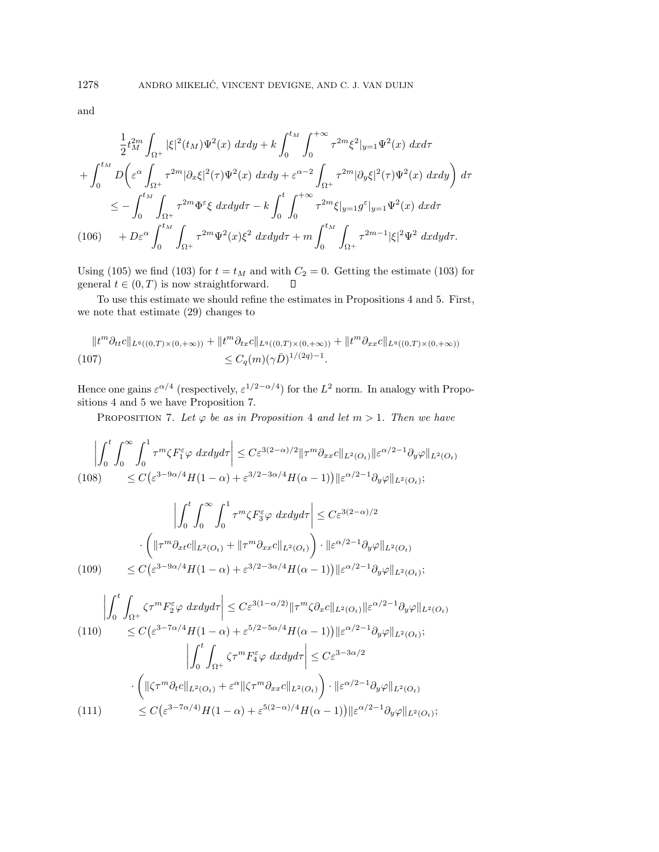and

$$
\frac{1}{2}t_M^{2m} \int_{\Omega^+} |\xi|^2 (t_M) \Psi^2(x) \ dx dy + k \int_0^{t_M} \int_0^{+\infty} \tau^{2m} \xi^2 |_{y=1} \Psi^2(x) \ dx d\tau \n+ \int_0^{t_M} D \left( \varepsilon^{\alpha} \int_{\Omega^+} \tau^{2m} |\partial_x \xi|^2(\tau) \Psi^2(x) \ dx dy + \varepsilon^{\alpha-2} \int_{\Omega^+} \tau^{2m} |\partial_y \xi|^2(\tau) \Psi^2(x) \ dx dy \right) d\tau \n\leq - \int_0^{t_M} \int_{\Omega^+} \tau^{2m} \Phi^{\varepsilon} \xi \ dx dy d\tau - k \int_0^t \int_0^{+\infty} \tau^{2m} \xi |_{y=1} g^{\varepsilon} |_{y=1} \Psi^2(x) \ dx d\tau \n(106) \qquad + D \varepsilon^{\alpha} \int_0^{t_M} \int_{\Omega^+} \tau^{2m} \Psi^2(x) \xi^2 \ dx dy d\tau + m \int_0^{t_M} \int_{\Omega^+} \tau^{2m-1} |\xi|^2 \Psi^2 \ dx dy d\tau.
$$

Using (105) we find (103) for  $t = t_M$  and with  $C_2 = 0$ . Getting the estimate (103) for general  $t \in (0, T)$  is now straightforward.  $\Box$ 

To use this estimate we should refine the estimates in Propositions 4 and 5. First, we note that estimate (29) changes to

$$
||t^m \partial_{tt}c||_{L^q((0,T)\times(0,+\infty))} + ||t^m \partial_{tx}c||_{L^q((0,T)\times(0,+\infty))} + ||t^m \partial_{xx}c||_{L^q((0,T)\times(0,+\infty))}
$$
  
(107) 
$$
\leq C_q(m)(\gamma \bar{D})^{1/(2q)-1}.
$$

Hence one gains  $\varepsilon^{\alpha/4}$  (respectively,  $\varepsilon^{1/2-\alpha/4}$ ) for the  $L^2$  norm. In analogy with Propositions 4 and 5 we have Proposition 7.

PROPOSITION 7. Let  $\varphi$  be as in Proposition 4 and let  $m > 1$ . Then we have

$$
\left| \int_{0}^{t} \int_{0}^{\infty} \int_{0}^{1} \tau^{m} \zeta F_{1}^{\varepsilon} \varphi \, dxdy d\tau \right| \leq C \varepsilon^{3(2-\alpha)/2} \|\tau^{m} \partial_{xx} c\|_{L^{2}(O_{t})} \|\varepsilon^{\alpha/2-1} \partial_{y} \varphi\|_{L^{2}(O_{t})}
$$
\n
$$
\leq C \big(\varepsilon^{3-9\alpha/4} H(1-\alpha) + \varepsilon^{3/2-3\alpha/4} H(\alpha-1)\big) \|\varepsilon^{\alpha/2-1} \partial_{y} \varphi\|_{L^{2}(O_{t})};
$$
\n
$$
\left| \int_{0}^{t} \int_{0}^{\infty} \int_{0}^{1} \tau^{m} \zeta F_{3}^{\varepsilon} \varphi \, dxdy d\tau \right| \leq C \varepsilon^{3(2-\alpha)/2}
$$
\n
$$
\cdot \left( \|\tau^{m} \partial_{xt} c\|_{L^{2}(O_{t})} + \|\tau^{m} \partial_{xx} c\|_{L^{2}(O_{t})} \right) \cdot \|\varepsilon^{\alpha/2-1} \partial_{y} \varphi\|_{L^{2}(O_{t})}
$$
\n
$$
\leq C \big(\varepsilon^{3-9\alpha/4} H(1-\alpha) + \varepsilon^{3/2-3\alpha/4} H(\alpha-1)\big) \|\varepsilon^{\alpha/2-1} \partial_{y} \varphi\|_{L^{2}(O_{t})};
$$
\n
$$
\left| \int_{0}^{t} \int_{\Omega_{+}} \zeta \tau^{m} F_{2}^{\varepsilon} \varphi \, dxdy d\tau \right| \leq C \varepsilon^{3(1-\alpha/2)} \|\tau^{m} \zeta \partial_{x} c\|_{L^{2}(O_{t})} \|\varepsilon^{\alpha/2-1} \partial_{y} \varphi\|_{L^{2}(O_{t})}
$$
\n
$$
\leq C \big(\varepsilon^{3-7\alpha/4} H(1-\alpha) + \varepsilon^{5/2-5\alpha/4} H(\alpha-1)\big) \|\varepsilon^{\alpha/2-1} \partial_{y} \varphi\|_{L^{2}(O_{t})};
$$
\n
$$
\left| \int_{0}^{t} \int_{\Omega_{+}} \zeta
$$

(111) 
$$
\leq C \left( \varepsilon^{3-7\alpha/4} H(1-\alpha) + \varepsilon^{5(2-\alpha)/4} H(\alpha-1) \right) \| \varepsilon^{\alpha/2-1} \partial_y \varphi \|_{L^2(O_t)};
$$

 $\cdot\left(\|\zeta\tau^m\partial_t c\|_{L^2(O_t)} + \varepsilon^\alpha\|\zeta\tau^m\partial_{xx} c\|_{L^2(O_t)}\right)\cdot\|\varepsilon^{\alpha/2-1}\partial_y\varphi\|_{L^2(O_t)}$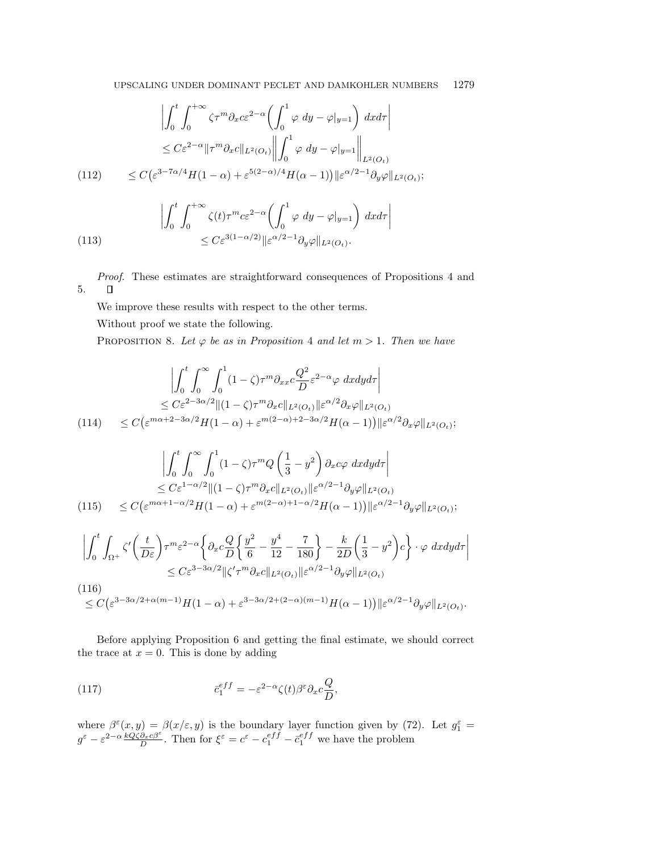$$
\left| \int_0^t \int_0^{+\infty} \zeta \tau^m \partial_x c \varepsilon^{2-\alpha} \left( \int_0^1 \varphi \, dy - \varphi|_{y=1} \right) dx d\tau \right|
$$
  
\n
$$
\leq C \varepsilon^{2-\alpha} \| \tau^m \partial_x c \|_{L^2(O_t)} \left\| \int_0^1 \varphi \, dy - \varphi|_{y=1} \right\|_{L^2(O_t)}
$$
  
\n
$$
\leq C \big( \varepsilon^{3-7\alpha/4} H(1-\alpha) + \varepsilon^{5(2-\alpha)/4} H(\alpha-1) \big) \| \varepsilon^{\alpha/2-1} \partial_y \varphi \|_{L^2(O_t)};
$$

(113) 
$$
\left| \int_0^t \int_0^{+\infty} \zeta(t) \tau^m c \varepsilon^{2-\alpha} \left( \int_0^1 \varphi \, dy - \varphi|_{y=1} \right) dx d\tau \right|
$$

$$
\leq C \varepsilon^{3(1-\alpha/2)} \| \varepsilon^{\alpha/2-1} \partial_y \varphi \|_{L^2(O_t)}.
$$

Proof. These estimates are straightforward consequences of Propositions 4 and 5.  $\Box$ 

We improve these results with respect to the other terms.

Without proof we state the following.

PROPOSITION 8. Let  $\varphi$  be as in Proposition 4 and let  $m > 1$ . Then we have

$$
\left| \int_0^t \int_0^\infty \int_0^1 (1 - \zeta) \tau^m \partial_{xx} c \frac{Q^2}{D} \varepsilon^{2-\alpha} \varphi \, dx dy d\tau \right|
$$
  
\n
$$
\leq C \varepsilon^{2-3\alpha/2} \| (1 - \zeta) \tau^m \partial_{x} c \|_{L^2(O_t)} \| \varepsilon^{\alpha/2} \partial_{x} \varphi \|_{L^2(O_t)}
$$
  
\n
$$
(114) \quad \leq C \big( \varepsilon^{m\alpha + 2 - 3\alpha/2} H(1 - \alpha) + \varepsilon^{m(2-\alpha) + 2 - 3\alpha/2} H(\alpha - 1) \big) \| \varepsilon^{\alpha/2} \partial_{x} \varphi \|_{L^2(O_t)};
$$

$$
\left| \int_0^t \int_0^\infty \int_0^1 (1 - \zeta) \tau^m Q\left(\frac{1}{3} - y^2\right) \partial_x c\varphi \, dxdy d\tau \right|
$$
  
\n
$$
\leq C \varepsilon^{1-\alpha/2} \| (1 - \zeta) \tau^m \partial_x c \|_{L^2(O_t)} \| \varepsilon^{\alpha/2 - 1} \partial_y \varphi \|_{L^2(O_t)}
$$
  
\n
$$
(115) \quad \leq C \big( \varepsilon^{m\alpha + 1 - \alpha/2} H(1 - \alpha) + \varepsilon^{m(2-\alpha) + 1 - \alpha/2} H(\alpha - 1) \big) \| \varepsilon^{\alpha/2 - 1} \partial_y \varphi \|_{L^2(O_t)};
$$

$$
\left| \int_0^t \int_{\Omega^+} \zeta' \left( \frac{t}{D\varepsilon} \right) \tau^m \varepsilon^{2-\alpha} \left\{ \partial_x c \frac{Q}{D} \left\{ \frac{y^2}{6} - \frac{y^4}{12} - \frac{7}{180} \right\} - \frac{k}{2D} \left( \frac{1}{3} - y^2 \right) c \right\} \cdot \varphi \ dx dy d\tau \right|
$$
  
\n
$$
\leq C \varepsilon^{3-3\alpha/2} \| \zeta' \tau^m \partial_x c \|_{L^2(O_t)} \| \varepsilon^{\alpha/2-1} \partial_y \varphi \|_{L^2(O_t)}
$$
  
\n(116)  
\n
$$
\leq C \left( \varepsilon^{3-3\alpha/2 + \alpha(m-1)} H(1-\alpha) + \varepsilon^{3-3\alpha/2 + (2-\alpha)(m-1)} H(\alpha-1) \right) \| \varepsilon^{\alpha/2-1} \partial_y \varphi \|_{L^2(O_t)}.
$$

Before applying Proposition 6 and getting the final estimate, we should correct the trace at  $x = 0$ . This is done by adding

(117) 
$$
\bar{c}_1^{eff} = -\varepsilon^{2-\alpha} \zeta(t) \beta^{\varepsilon} \partial_x c \frac{Q}{D},
$$

where  $\beta^{\varepsilon}(x,y) = \beta(x/\varepsilon, y)$  is the boundary layer function given by (72). Let  $g_1^{\varepsilon} =$  $g^{\varepsilon} - \varepsilon^{2-\alpha} \frac{kQ\zeta\partial_x c\beta^{\varepsilon}}{D}$ . Then for  $\xi^{\varepsilon} = c^{\varepsilon} - c_1^{\varepsilon f\tilde{f}} - \bar{c}_1^{\varepsilon f\tilde{f}}$  we have the problem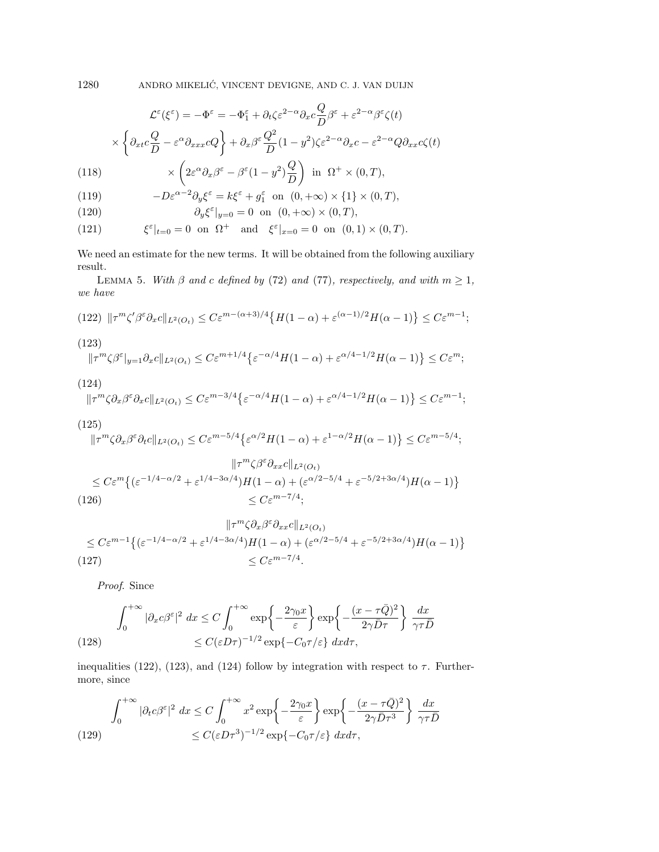1280 ANDRO MIKELIC, VINCENT DEVIGNE, AND C. J. VAN DUIJN ´

$$
\mathcal{L}^{\varepsilon}(\xi^{\varepsilon}) = -\Phi^{\varepsilon} = -\Phi_1^{\varepsilon} + \partial_t \zeta \varepsilon^{2-\alpha} \partial_x c \frac{Q}{D} \beta^{\varepsilon} + \varepsilon^{2-\alpha} \beta^{\varepsilon} \zeta(t)
$$

$$
\times \left\{ \partial_{xt} c \frac{Q}{D} - \varepsilon^{\alpha} \partial_{xxx} cQ \right\} + \partial_x \beta^{\varepsilon} \frac{Q^2}{D} (1 - y^2) \zeta \varepsilon^{2-\alpha} \partial_x c - \varepsilon^{2-\alpha} Q \partial_{xx} c \zeta(t)
$$
(118) 
$$
\times \left( 2\varepsilon^{\alpha} \partial_x \beta^{\varepsilon} - \beta^{\varepsilon} (1 - y^2) \frac{Q}{D} \right) \text{ in } \Omega^+ \times (0, T),
$$

(119) 
$$
-D\varepsilon^{\alpha-2}\partial_y\xi^{\varepsilon} = k\xi^{\varepsilon} + g_1^{\varepsilon} \text{ on } (0, +\infty) \times \{1\} \times (0, T),
$$

(120) 
$$
\partial_y \xi^{\varepsilon}|_{y=0} = 0 \text{ on } (0, +\infty) \times (0, T),
$$

(121) 
$$
\xi^{\varepsilon}|_{t=0} = 0 \text{ on } \Omega^{+} \text{ and } \xi^{\varepsilon}|_{x=0} = 0 \text{ on } (0,1) \times (0,T).
$$

We need an estimate for the new terms. It will be obtained from the following auxiliary result.

LEMMA 5. With  $\beta$  and c defined by (72) and (77), respectively, and with  $m \geq 1$ , we have

(122) 
$$
\|\tau^m \zeta' \beta^{\varepsilon} \partial_x c \|_{L^2(O_t)} \leq C \varepsilon^{m-(\alpha+3)/4} \{ H(1-\alpha) + \varepsilon^{(\alpha-1)/2} H(\alpha-1) \} \leq C \varepsilon^{m-1};
$$

(123)  

$$
\|\tau^m\zeta\beta^{\varepsilon}|_{y=1}\partial_x c\|_{L^2(O_t)} \leq C\varepsilon^{m+1/4}\left\{\varepsilon^{-\alpha/4}H(1-\alpha)+\varepsilon^{\alpha/4-1/2}H(\alpha-1)\right\} \leq C\varepsilon^m;
$$

$$
(124)
$$

$$
\|\tau^m\zeta \partial_x \beta^{\varepsilon} \partial_x c\|_{L^2(O_t)} \le C\varepsilon^{m-3/4} \left\{ \varepsilon^{-\alpha/4} H(1-\alpha) + \varepsilon^{\alpha/4-1/2} H(\alpha-1) \right\} \le C\varepsilon^{m-1};
$$

(125)  
\n
$$
\|\tau^m \zeta \partial_x \beta^{\varepsilon} \partial_t c\|_{L^2(O_t)} \le C \varepsilon^{m-5/4} \left\{ \varepsilon^{\alpha/2} H(1-\alpha) + \varepsilon^{1-\alpha/2} H(\alpha-1) \right\} \le C \varepsilon^{m-5/4};
$$
\n
$$
\|\tau^m \zeta \partial^{\varepsilon} \partial_{xx} c\|_{L^2(O_t)}
$$

$$
\leq C\varepsilon^m \left\{ \left( \varepsilon^{-1/4 - \alpha/2} + \varepsilon^{1/4 - 3\alpha/4} \right) H(1 - \alpha) + \left( \varepsilon^{\alpha/2 - 5/4} + \varepsilon^{-5/2 + 3\alpha/4} \right) H(\alpha - 1) \right\}
$$
\n
$$
\leq C\varepsilon^{m-7/4};
$$
\n(126)

$$
\|\tau^m \zeta \partial_x \beta^{\varepsilon} \partial_{xx} c \|_{L^2(O_t)}
$$
  
\n
$$
\leq C \varepsilon^{m-1} \left\{ \left( \varepsilon^{-1/4 - \alpha/2} + \varepsilon^{1/4 - 3\alpha/4} \right) H(1 - \alpha) + \left( \varepsilon^{\alpha/2 - 5/4} + \varepsilon^{-5/2 + 3\alpha/4} \right) H(\alpha - 1) \right\}
$$
  
\n
$$
\leq C \varepsilon^{m-7/4}.
$$

Proof. Since

(128) 
$$
\int_0^{+\infty} |\partial_x c\beta^{\varepsilon}|^2 dx \le C \int_0^{+\infty} \exp\left\{-\frac{2\gamma_0 x}{\varepsilon}\right\} \exp\left\{-\frac{(x-\tau \bar{Q})^2}{2\gamma \bar{D}\tau}\right\} \frac{dx}{\gamma \tau \bar{D}}
$$

$$
\le C(\varepsilon D\tau)^{-1/2} \exp\{-C_0 \tau/\varepsilon\} dx d\tau,
$$

inequalities (122), (123), and (124) follow by integration with respect to  $\tau$ . Furthermore, since

$$
\int_0^{+\infty} |\partial_t c\beta^\varepsilon|^2 dx \le C \int_0^{+\infty} x^2 \exp\left\{-\frac{2\gamma_0 x}{\varepsilon}\right\} \exp\left\{-\frac{(x-\tau \bar{Q})^2}{2\gamma \bar{D}\tau^3}\right\} \frac{dx}{\gamma \tau \bar{D}}
$$
\n
$$
\le C(\varepsilon D\tau^3)^{-1/2} \exp\{-C_0 \tau/\varepsilon\} dx d\tau,
$$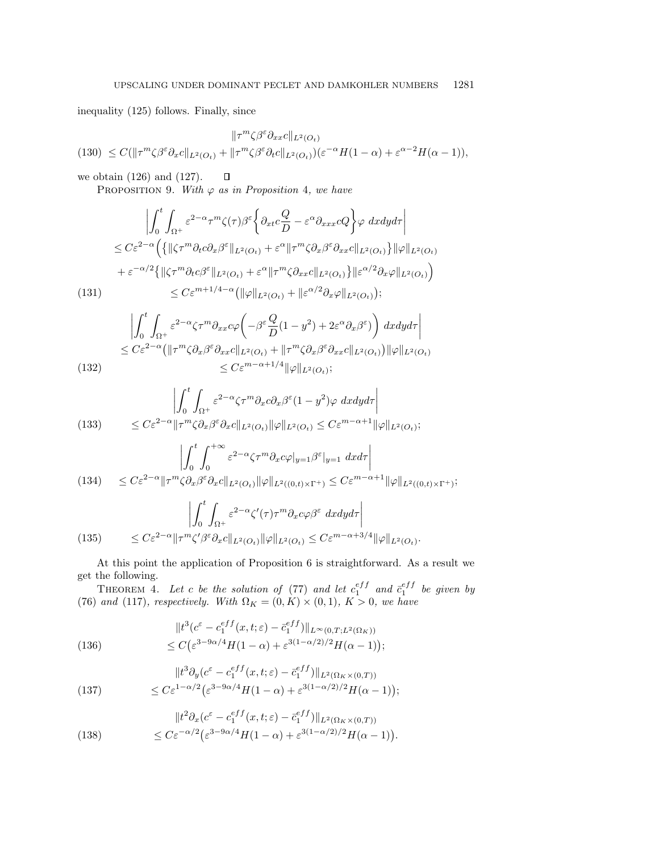inequality (125) follows. Finally, since

$$
\|\tau^m\zeta\beta^{\varepsilon}\partial_{xx}c\|_{L^2(O_t)}
$$
  
(130) 
$$
\leq C(\|\tau^m\zeta\beta^{\varepsilon}\partial_{x}c\|_{L^2(O_t)} + \|\tau^m\zeta\beta^{\varepsilon}\partial_{t}c\|_{L^2(O_t)})(\varepsilon^{-\alpha}H(1-\alpha) + \varepsilon^{\alpha-2}H(\alpha-1)),
$$

we obtain (126) and (127).  $\Box$ PROPOSITION 9. With  $\varphi$  as in Proposition 4, we have

$$
\left| \int_{0}^{t} \int_{\Omega^{+}} \varepsilon^{2-\alpha} \tau^{m} \zeta(\tau) \beta^{\varepsilon} \left\{ \partial_{xt} c \frac{Q}{D} - \varepsilon^{\alpha} \partial_{xxx} cQ \right\} \varphi \ dx dy d\tau \right|
$$
  
\n
$$
\leq C \varepsilon^{2-\alpha} \left( \left\{ \|\zeta \tau^{m} \partial_{t} c \partial_{x} \beta^{\varepsilon} \|_{L^{2}(O_{t})} + \varepsilon^{\alpha} \| \tau^{m} \zeta \partial_{x} \beta^{\varepsilon} \partial_{xx} c \|_{L^{2}(O_{t})} \right\} \|\varphi\|_{L^{2}(O_{t})} \right. \\ \left. + \varepsilon^{-\alpha/2} \left\{ \|\zeta \tau^{m} \partial_{t} c \beta^{\varepsilon} \|_{L^{2}(O_{t})} + \varepsilon^{\alpha} \| \tau^{m} \zeta \partial_{xx} c \|_{L^{2}(O_{t})} \right\} \|\varepsilon^{\alpha/2} \partial_{x} \varphi \|_{L^{2}(O_{t})} \right) \right. \\ \left. \leq C \varepsilon^{m+1/4-\alpha} \left( \|\varphi\|_{L^{2}(O_{t})} + \|\varepsilon^{\alpha/2} \partial_{x} \varphi \|_{L^{2}(O_{t})} \right);
$$

$$
\left| \int_{0}^{t} \int_{\Omega^{+}} \varepsilon^{2-\alpha} \zeta \tau^{m} \partial_{xx} c \varphi \left( -\beta^{\varepsilon} \frac{Q}{D} (1 - y^{2}) + 2\varepsilon^{\alpha} \partial_{x} \beta^{\varepsilon} \right) \right) dx dy d\tau \right|
$$
  
\n
$$
\leq C \varepsilon^{2-\alpha} \left( \| \tau^{m} \zeta \partial_{x} \beta^{\varepsilon} \partial_{xx} c \|_{L^{2}(O_{t})} + \| \tau^{m} \zeta \partial_{x} \beta^{\varepsilon} \partial_{xx} c \|_{L^{2}(O_{t})} \right) \| \varphi \|_{L^{2}(O_{t})}
$$
  
\n
$$
\leq C \varepsilon^{m-\alpha+1/4} \| \varphi \|_{L^{2}(O_{t})};
$$

(133) 
$$
\left| \int_0^t \int_{\Omega^+} \varepsilon^{2-\alpha} \zeta \tau^m \partial_x c \partial_x \beta^{\varepsilon} (1-y^2) \varphi \, dx dy d\tau \right|
$$

$$
\leq C \varepsilon^{2-\alpha} \| \tau^m \zeta \partial_x \beta^{\varepsilon} \partial_x c \|_{L^2(O_t)} \| \varphi \|_{L^2(O_t)} \leq C \varepsilon^{m-\alpha+1} \| \varphi \|_{L^2(O_t)};
$$

$$
\left| \int_{0}^{t} \int_{0}^{+\infty} \varepsilon^{2-\alpha} \zeta \tau^{m} \partial_{x} c \varphi |_{y=1} d\xi d\tau \right|
$$
\n
$$
(134) \leq C \varepsilon^{2-\alpha} \|\tau^{m} \zeta \partial_{x} \beta^{\varepsilon} \partial_{x} c \|_{L^{2}(O_{t})} \|\varphi\|_{L^{2}((0,t)\times\Gamma^{+})} \leq C \varepsilon^{m-\alpha+1} \|\varphi\|_{L^{2}((0,t)\times\Gamma^{+})};
$$
\n
$$
\left| \int_{0}^{t} \int_{\Omega^{+}} \varepsilon^{2-\alpha} \zeta'(\tau) \tau^{m} \partial_{x} c \varphi \beta^{\varepsilon} d\xi d\eta d\tau \right|
$$
\n
$$
(135) \leq C \varepsilon^{2-\alpha} \|\tau^{m} \zeta' \beta^{\varepsilon} \partial_{x} c \|_{L^{2}(O_{t})} \|\varphi\|_{L^{2}(O_{t})} \leq C \varepsilon^{m-\alpha+3/4} \|\varphi\|_{L^{2}(O_{t})}.
$$

At this point the application of Proposition 6 is straightforward. As a result we get the following.

THEOREM 4. Let c be the solution of (77) and let  $c_1^{eff}$  and  $\bar{c}_1^{eff}$  be given by (76) and (117), respectively. With  $\Omega_K = (0, K) \times (0, 1)$ ,  $K > 0$ , we have

(136) 
$$
||t^3(c^{\varepsilon} - c_1^{eff}(x,t;\varepsilon) - \bar{c}_1^{eff})||_{L^{\infty}(0,T;L^2(\Omega_K))}
$$

$$
\leq C(\varepsilon^{3-9\alpha/4}H(1-\alpha) + \varepsilon^{3(1-\alpha/2)/2}H(\alpha-1));
$$

(137) 
$$
||t^3 \partial_y (c^{\varepsilon} - c_1^{\varepsilon f f}(x, t; \varepsilon) - \bar{c}_1^{\varepsilon f f})||_{L^2(\Omega_K \times (0, T))} \leq C \varepsilon^{1 - \alpha/2} \left( \varepsilon^{3 - 9\alpha/4} H(1 - \alpha) + \varepsilon^{3(1 - \alpha/2)/2} H(\alpha - 1) \right);
$$

(138) 
$$
||t^2 \partial_x (c^{\varepsilon} - c_1^{\varepsilon f f}(x, t; \varepsilon) - \bar{c}_1^{\varepsilon f f})||_{L^2(\Omega_K \times (0, T))}
$$

$$
\leq C \varepsilon^{-\alpha/2} \big( \varepsilon^{3-9\alpha/4} H(1-\alpha) + \varepsilon^{3(1-\alpha/2)/2} H(\alpha - 1) \big).
$$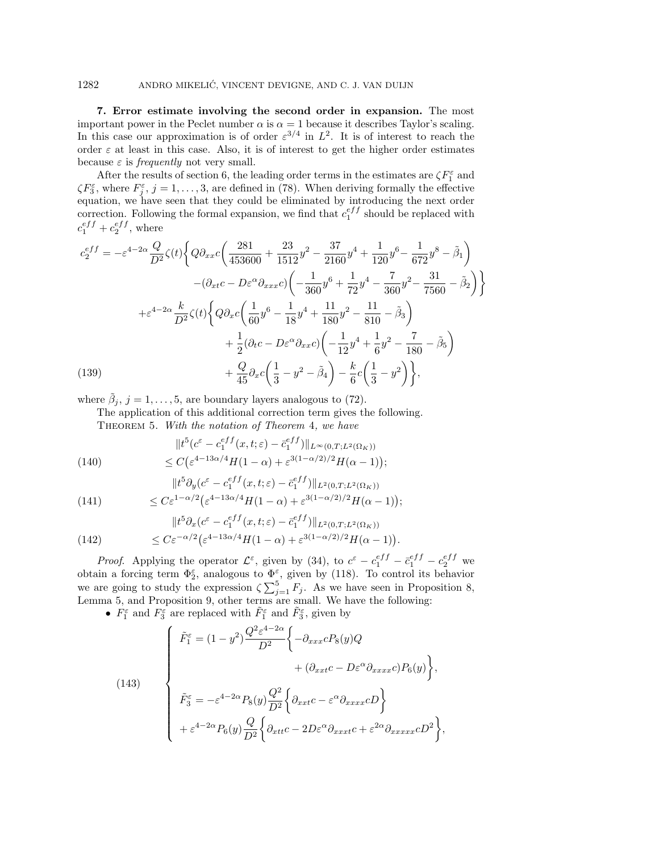### 1282 ANDRO MIKELIC, VINCENT DEVIGNE, AND C. J. VAN DUIJN ´

**7. Error estimate involving the second order in expansion.** The most important power in the Peclet number  $\alpha$  is  $\alpha = 1$  because it describes Taylor's scaling. In this case our approximation is of order  $\varepsilon^{3/4}$  in  $L^2$ . It is of interest to reach the order  $\varepsilon$  at least in this case. Also, it is of interest to get the higher order estimates because  $\varepsilon$  is *frequently* not very small.

After the results of section 6, the leading order terms in the estimates are  $\zeta F_1^{\varepsilon}$  and  $\zeta F_3^{\varepsilon}$ , where  $F_j^{\varepsilon}$ ,  $j = 1, \ldots, 3$ , are defined in (78). When deriving formally the effective equation, we have seen that they could be eliminated by introducing the next order correction. Following the formal expansion, we find that  $c_1^{eff}$  should be replaced with  $c_1^{eff} + c_2^{eff}$ , where

$$
c_2^{eff} = -\varepsilon^{4-2\alpha} \frac{Q}{D^2} \zeta(t) \left\{ Q \partial_{xx} c \left( \frac{281}{453600} + \frac{23}{1512} y^2 - \frac{37}{2160} y^4 + \frac{1}{120} y^6 - \frac{1}{672} y^8 - \tilde{\beta}_1 \right) \right.- (\partial_{xt} c - D\varepsilon^{\alpha} \partial_{xxx} c) \left( -\frac{1}{360} y^6 + \frac{1}{72} y^4 - \frac{7}{360} y^2 - \frac{31}{7560} - \tilde{\beta}_2 \right) \right\}+ \varepsilon^{4-2\alpha} \frac{k}{D^2} \zeta(t) \left\{ Q \partial_{x} c \left( \frac{1}{60} y^6 - \frac{1}{18} y^4 + \frac{11}{180} y^2 - \frac{11}{810} - \tilde{\beta}_3 \right) \right.+ \frac{1}{2} (\partial_t c - D\varepsilon^{\alpha} \partial_{xx} c) \left( -\frac{1}{12} y^4 + \frac{1}{6} y^2 - \frac{7}{180} - \tilde{\beta}_5 \right) + \frac{Q}{45} \partial_{x} c \left( \frac{1}{3} - y^2 - \tilde{\beta}_4 \right) - \frac{k}{6} c \left( \frac{1}{3} - y^2 \right) \right\},
$$

where  $\tilde{\beta}_j$ ,  $j = 1, \ldots, 5$ , are boundary layers analogous to (72).

The application of this additional correction term gives the following.

Theorem 5. With the notation of Theorem 4, we have

(140) 
$$
||t^{5}(c^{\varepsilon} - c_{1}^{eff}(x, t; \varepsilon) - \bar{c}_{1}^{eff})||_{L^{\infty}(0, T; L^{2}(\Omega_{K}))}
$$

$$
\leq C(\varepsilon^{4-13\alpha/4}H(1-\alpha) + \varepsilon^{3(1-\alpha/2)/2}H(\alpha-1));
$$

(141) 
$$
||t^5 \partial_y (c^{\varepsilon} - c_1^{eff}(x, t; \varepsilon) - \bar{c}_1^{eff})||_{L^2(0, T; L^2(\Omega_K))}
$$

$$
\leq C \varepsilon^{1-\alpha/2} \big( \varepsilon^{4-13\alpha/4} H(1-\alpha) + \varepsilon^{3(1-\alpha/2)/2} H(\alpha-1) \big);
$$

(142) 
$$
||t^{5}\partial_{x}(c^{\varepsilon} - c_{1}^{eff}(x, t; \varepsilon) - \bar{c}_{1}^{eff})||_{L^{2}(0, T; L^{2}(\Omega_{K}))}
$$

$$
\leq C\varepsilon^{-\alpha/2}(\varepsilon^{4-13\alpha/4}H(1-\alpha) + \varepsilon^{3(1-\alpha/2)/2}H(\alpha-1)).
$$

*Proof.* Applying the operator  $\mathcal{L}^{\varepsilon}$ , given by (34), to  $c^{\varepsilon} - c_1^{eff} - \bar{c}_1^{eff} - c_2^{eff}$  we obtain a forcing term  $\Phi_2^{\varepsilon}$ , analogous to  $\Phi_2^{\varepsilon}$ , given by (118). To control its behavior we are going to study the expression  $\zeta \sum_{j=1}^{5} F_j$ . As we have seen in Proposition 8, Lemma 5, and Proposition 9, other terms are small. We have the following:

•  $F_1^{\varepsilon}$  and  $F_3^{\varepsilon}$  are replaced with  $\tilde{F}_1^{\varepsilon}$  and  $\tilde{F}_3^{\varepsilon}$ , given by

(143)  

$$
\begin{cases}\n\tilde{F}_1^{\varepsilon} = (1 - y^2) \frac{Q^2 \varepsilon^{4 - 2\alpha}}{D^2} \left\{ -\partial_{xxx} c P_8(y) Q \right. \\
\left. + (\partial_{xxt} c - D\varepsilon^{\alpha} \partial_{xxxx} c) P_6(y) \right\}, \\
\tilde{F}_3^{\varepsilon} = -\varepsilon^{4 - 2\alpha} P_8(y) \frac{Q^2}{D^2} \left\{ \partial_{xxt} c - \varepsilon^{\alpha} \partial_{xxxx} c D \right\} \\
\left. + \varepsilon^{4 - 2\alpha} P_6(y) \frac{Q}{D^2} \left\{ \partial_{xtt} c - 2D\varepsilon^{\alpha} \partial_{xxxx} c + \varepsilon^{2\alpha} \partial_{xxxx} c D^2 \right\},\n\end{cases}
$$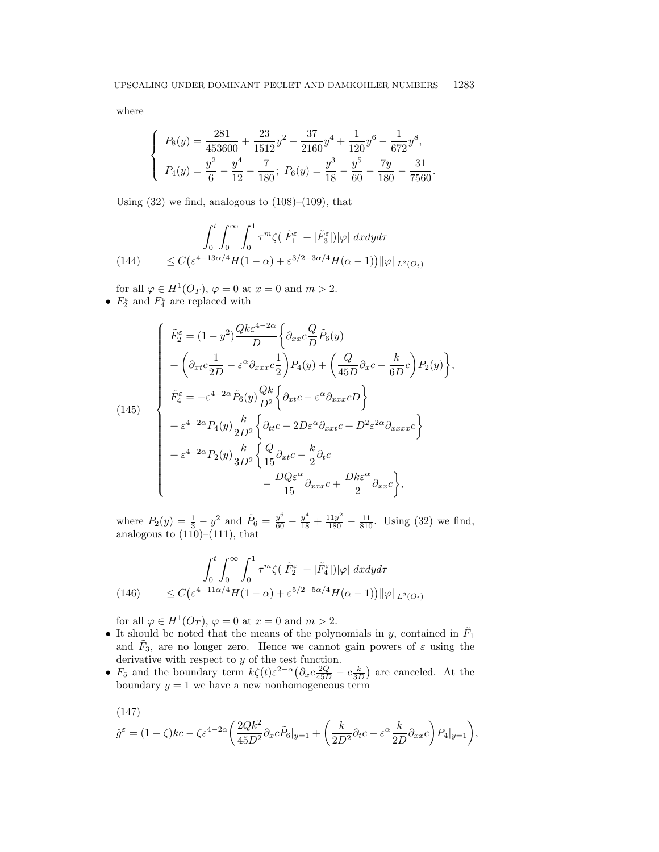where

$$
\begin{cases}\nP_8(y) = \frac{281}{453600} + \frac{23}{1512}y^2 - \frac{37}{2160}y^4 + \frac{1}{120}y^6 - \frac{1}{672}y^8, \\
P_4(y) = \frac{y^2}{6} - \frac{y^4}{12} - \frac{7}{180};\ P_6(y) = \frac{y^3}{18} - \frac{y^5}{60} - \frac{7y}{180} - \frac{31}{7560}.\n\end{cases}
$$

Using  $(32)$  we find, analogous to  $(108)$ – $(109)$ , that

(144) 
$$
\int_0^t \int_0^\infty \int_0^1 \tau^m \zeta(|\tilde{F}_1^\varepsilon| + |\tilde{F}_3^\varepsilon|)|\varphi| \ dx dy d\tau
$$

$$
\leq C \big(\varepsilon^{4-13\alpha/4} H(1-\alpha) + \varepsilon^{3/2-3\alpha/4} H(\alpha-1)\big) ||\varphi||_{L^2(O_t)}
$$

for all  $\varphi \in H^1(O_T)$ ,  $\varphi = 0$  at  $x = 0$  and  $m > 2$ . •  $F_2^{\varepsilon}$  and  $F_4^{\varepsilon}$  are replaced with

(145)  
\n
$$
\begin{cases}\n\tilde{F}_2^{\varepsilon} = (1 - y^2) \frac{Qk \varepsilon^{4-2\alpha}}{D} \left\{ \partial_{xx} c \frac{Q}{D} \tilde{P}_6(y) \right. \\
\left. + \left( \partial_{xt} c \frac{1}{2D} - \varepsilon^{\alpha} \partial_{xxx} c \frac{1}{2} \right) P_4(y) + \left( \frac{Q}{45D} \partial_{x} c - \frac{k}{6D} c \right) P_2(y) \right\}, \\
\tilde{F}_4^{\varepsilon} = -\varepsilon^{4-2\alpha} \tilde{P}_6(y) \frac{Qk}{D^2} \left\{ \partial_{xt} c - \varepsilon^{\alpha} \partial_{xxx} cD \right\} \\
+ \varepsilon^{4-2\alpha} P_4(y) \frac{k}{2D^2} \left\{ \partial_{tt} c - 2D\varepsilon^{\alpha} \partial_{xxt} c + D^2 \varepsilon^{2\alpha} \partial_{xxxx} c \right\} \\
+ \varepsilon^{4-2\alpha} P_2(y) \frac{k}{3D^2} \left\{ \frac{Q}{15} \partial_{xt} c - \frac{k}{2} \partial_t c \\
- \frac{DQ\varepsilon^{\alpha}}{15} \partial_{xxx} c + \frac{Dk\varepsilon^{\alpha}}{2} \partial_{xx} c \right\},\n\end{cases}
$$

where  $P_2(y) = \frac{1}{3} - y^2$  and  $\tilde{P}_6 = \frac{y^6}{60} - \frac{y^4}{18} + \frac{11y^2}{180} - \frac{11}{810}$ . Using (32) we find, analogous to  $(110)–(111)$ , that

(146) 
$$
\int_0^t \int_0^\infty \int_0^1 \tau^m \zeta(|\tilde{F}_2^\varepsilon| + |\tilde{F}_4^\varepsilon|)|\varphi| \ dx dy d\tau
$$
  

$$
\leq C \big( \varepsilon^{4-11\alpha/4} H(1-\alpha) + \varepsilon^{5/2-5\alpha/4} H(\alpha-1) \big) ||\varphi||_{L^2(O_t)}
$$

for all  $\varphi \in H^1(O_T)$ ,  $\varphi = 0$  at  $x = 0$  and  $m > 2$ .

- It should be noted that the means of the polynomials in y, contained in  $\tilde{F}_1$ and  $\tilde{F}_3$ , are no longer zero. Hence we cannot gain powers of  $\varepsilon$  using the derivative with respect to y of the test function.
- $F_5$  and the boundary term  $k\zeta(t)\varepsilon^{2-\alpha}(\partial_x c_{\frac{45D}{45D}}^{\alpha} c_{\frac{k}{3D}}^{\alpha})$  are canceled. At the boundary  $y = 1$  we have a new nonhomogeneous term

(147)  
\n
$$
\hat{g}^{\varepsilon} = (1 - \zeta)kc - \zeta \varepsilon^{4-2\alpha} \left( \frac{2Qk^2}{45D^2} \partial_x c \tilde{P}_6|_{y=1} + \left( \frac{k}{2D^2} \partial_t c - \varepsilon^{\alpha} \frac{k}{2D} \partial_{xx} c \right) P_4|_{y=1} \right),
$$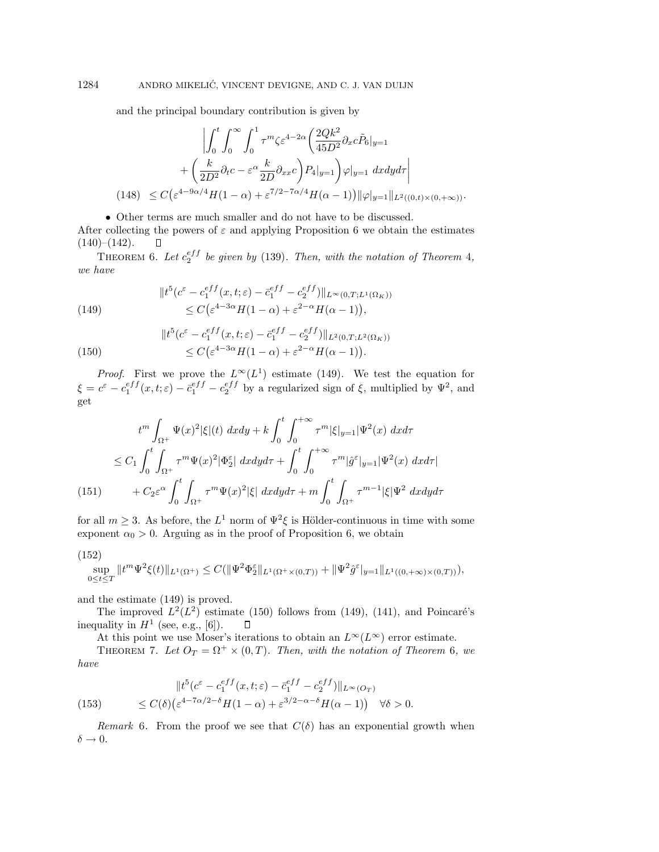and the principal boundary contribution is given by

$$
\left| \int_0^t \int_0^\infty \int_0^1 \tau^m \zeta \varepsilon^{4-2\alpha} \left( \frac{2Qk^2}{45D^2} \partial_x c \tilde{P}_6 |_{y=1} \right. \right.\left. + \left( \frac{k}{2D^2} \partial_t c - \varepsilon^\alpha \frac{k}{2D} \partial_{xx} c \right) P_4 |_{y=1} \right) \varphi|_{y=1} dx dy d\tau \right|
$$
\n(148)  $\leq C \left( \varepsilon^{4-9\alpha/4} H(1-\alpha) + \varepsilon^{7/2-7\alpha/4} H(\alpha-1) \right) ||\varphi|_{y=1} ||_{L^2((0,t)\times(0,+\infty))}.$ 

• Other terms are much smaller and do not have to be discussed. After collecting the powers of  $\varepsilon$  and applying Proposition 6 we obtain the estimates

 $(140)–(142)$ .  $\Box$ 

THEOREM 6. Let  $c_2^{eff}$  be given by (139). Then, with the notation of Theorem 4, we have

(149) 
$$
||t^{5}(c^{\varepsilon} - c_{1}^{eff}(x, t; \varepsilon) - \bar{c}_{1}^{eff} - c_{2}^{eff})||_{L^{\infty}(0, T; L^{1}(\Omega_{K}))} \leq C(\varepsilon^{4-3\alpha}H(1-\alpha) + \varepsilon^{2-\alpha}H(\alpha - 1)),
$$

(150) 
$$
||t^{5}(c^{\varepsilon} - c_{1}^{eff}(x, t; \varepsilon) - \bar{c}_{1}^{eff} - c_{2}^{eff})||_{L^{2}(0, T; L^{2}(\Omega_{K}))}
$$

$$
\leq C(\varepsilon^{4-3\alpha}H(1-\alpha) + \varepsilon^{2-\alpha}H(\alpha - 1)).
$$

*Proof.* First we prove the  $L^{\infty}(L^1)$  estimate (149). We test the equation for  $\xi = c^{\varepsilon} - c_1^{eff}(x,t;\varepsilon) - \bar{c}_1^{eff} - c_2^{eff}$  by a regularized sign of  $\xi$ , multiplied by  $\Psi^2$ , and get

$$
t^{m} \int_{\Omega^{+}} \Psi(x)^{2} |\xi| (t) \, dxdy + k \int_{0}^{t} \int_{0}^{+\infty} \tau^{m} |\xi|_{y=1} |\Psi^{2}(x) \, dxd\tau
$$
  

$$
\leq C_{1} \int_{0}^{t} \int_{\Omega^{+}} \tau^{m} \Psi(x)^{2} |\Phi_{2}^{\varepsilon}| \, dxdy d\tau + \int_{0}^{t} \int_{0}^{+\infty} \tau^{m} |\hat{g}^{\varepsilon}|_{y=1} |\Psi^{2}(x) \, dxd\tau|
$$
  
(151)  

$$
+ C_{2} \varepsilon^{\alpha} \int_{0}^{t} \int_{\Omega^{+}} \tau^{m} \Psi(x)^{2} |\xi| \, dxdy d\tau + m \int_{0}^{t} \int_{\Omega^{+}} \tau^{m-1} |\xi| \Psi^{2} \, dxdy d\tau
$$

for all  $m \geq 3$ . As before, the  $L^1$  norm of  $\Psi^2 \xi$  is Hölder-continuous in time with some exponent  $\alpha_0 > 0$ . Arguing as in the proof of Proposition 6, we obtain

$$
(152)
$$

$$
\sup_{0 \le t \le T} ||t^m \Psi^2 \xi(t)||_{L^1(\Omega^+)} \le C(||\Psi^2 \Phi_2^{\varepsilon}||_{L^1(\Omega^+ \times (0,T))} + ||\Psi^2 \hat{g}^{\varepsilon}||_{y=1} ||_{L^1((0,+\infty) \times (0,T))}),
$$

and the estimate (149) is proved.

The improved  $L^2(L^2)$  estimate (150) follows from (149), (141), and Poincaré's inequality in  $H^1$  (see, e.g., [6]).  $\Box$ 

At this point we use Moser's iterations to obtain an  $L^{\infty}(L^{\infty})$  error estimate.

THEOREM 7. Let  $O_T = \Omega^+ \times (0,T)$ . Then, with the notation of Theorem 6, we have

(153) 
$$
||t^5(c^{\varepsilon} - c_1^{eff}(x,t;\varepsilon) - \bar{c}_1^{eff} - c_2^{eff})||_{L^{\infty}(O_T)}
$$

$$
\leq C(\delta) \left( \varepsilon^{4-7\alpha/2-\delta} H(1-\alpha) + \varepsilon^{3/2-\alpha-\delta} H(\alpha-1) \right) \quad \forall \delta > 0.
$$

Remark 6. From the proof we see that  $C(\delta)$  has an exponential growth when  $\delta \rightarrow 0.$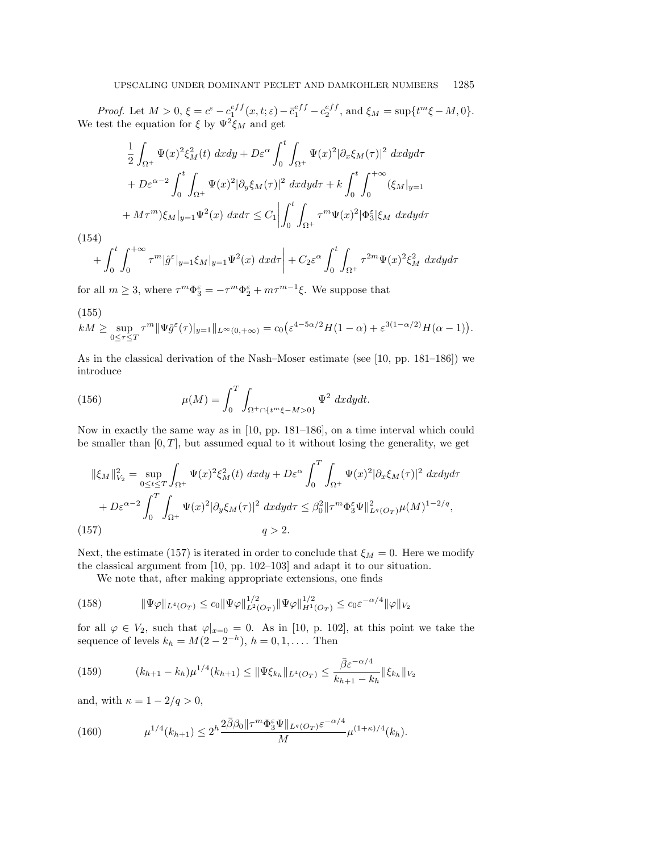Proof. Let  $M > 0$ ,  $\xi = c^{\varepsilon} - c_1^{eff}(x, t; \varepsilon) - \bar{c}_1^{eff} - c_2^{eff}$ , and  $\xi_M = \sup\{t^m \xi - M, 0\}$ . We test the equation for  $\xi$  by  $\Psi^2 \xi_M$  and get

$$
\frac{1}{2} \int_{\Omega^+} \Psi(x)^2 \xi_M^2(t) \, dxdy + D\varepsilon^{\alpha} \int_0^t \int_{\Omega^+} \Psi(x)^2 |\partial_x \xi_M(\tau)|^2 \, dxdy d\tau \n+ D\varepsilon^{\alpha-2} \int_0^t \int_{\Omega^+} \Psi(x)^2 |\partial_y \xi_M(\tau)|^2 \, dxdy d\tau + k \int_0^t \int_0^{+\infty} (\xi_M|_{y=1} \n+ M\tau^m) \xi_M|_{y=1} \Psi^2(x) \, dxd\tau \leq C_1 \left| \int_0^t \int_{\Omega^+} \tau^m \Psi(x)^2 |\Phi_3^{\varepsilon}| \xi_M \, dxdy d\tau \right|
$$

(154)

$$
+\int_0^t \int_0^{+\infty} \tau^m |\hat{g}^\varepsilon|_{y=1} \xi_M|_{y=1} \Psi^2(x) \, dx d\tau \bigg| + C_2 \varepsilon^\alpha \int_0^t \int_{\Omega^+} \tau^{2m} \Psi(x)^2 \xi_M^2 \, dx dy d\tau
$$

for all  $m \geq 3$ , where  $\tau^m \Phi_3^{\varepsilon} = -\tau^m \Phi_2^{\varepsilon} + m\tau^{m-1}\xi$ . We suppose that

(155)  
\n
$$
kM \ge \sup_{0 \le \tau \le T} \tau^m \|\Psi \hat{g}^{\varepsilon}(\tau)\|_{y=1} \|_{L^{\infty}(0,+\infty)} = c_0 \big( \varepsilon^{4-5\alpha/2} H(1-\alpha) + \varepsilon^{3(1-\alpha/2)} H(\alpha-1) \big).
$$

As in the classical derivation of the Nash–Moser estimate (see [10, pp. 181–186]) we introduce

(156) 
$$
\mu(M) = \int_0^T \int_{\Omega^+\cap \{t^m\xi - M>0\}} \Psi^2 dx dy dt.
$$

Now in exactly the same way as in [10, pp. 181–186], on a time interval which could be smaller than  $[0, T]$ , but assumed equal to it without losing the generality, we get

$$
\|\xi_M\|_{V_2}^2 = \sup_{0 \le t \le T} \int_{\Omega^+} \Psi(x)^2 \xi_M^2(t) \, dx dy + D\varepsilon^{\alpha} \int_0^T \int_{\Omega^+} \Psi(x)^2 |\partial_x \xi_M(\tau)|^2 \, dx dy d\tau
$$

$$
+ D\varepsilon^{\alpha-2} \int_0^T \int_{\Omega^+} \Psi(x)^2 |\partial_y \xi_M(\tau)|^2 \, dx dy d\tau \le \beta_0^2 \|\tau^m \Phi_3^{\varepsilon} \Psi\|_{L^q(O_T)}^2 \mu(M)^{1-2/q},
$$
(157)

Next, the estimate (157) is iterated in order to conclude that  $\xi_M = 0$ . Here we modify the classical argument from [10, pp. 102–103] and adapt it to our situation.

We note that, after making appropriate extensions, one finds

(158) 
$$
\|\Psi\varphi\|_{L^4(O_T)} \leq c_0 \|\Psi\varphi\|_{L^2(O_T)}^{1/2} \|\Psi\varphi\|_{H^1(O_T)}^{1/2} \leq c_0 \varepsilon^{-\alpha/4} \|\varphi\|_{V_2}
$$

for all  $\varphi \in V_2$ , such that  $\varphi|_{x=0} = 0$ . As in [10, p. 102], at this point we take the sequence of levels  $k_h = M(2 - 2^{-h}), h = 0, 1, \dots$  Then

(159) 
$$
(k_{h+1} - k_h) \mu^{1/4}(k_{h+1}) \leq \|\Psi \xi_{k_h}\|_{L^4(O_T)} \leq \frac{\bar{\beta} \varepsilon^{-\alpha/4}}{k_{h+1} - k_h} \|\xi_{k_h}\|_{V_2}
$$

and, with  $\kappa = 1 - 2/q > 0$ ,

(160) 
$$
\mu^{1/4}(k_{h+1}) \leq 2^h \frac{2\bar{\beta}\beta_0 \|\tau^m \Phi_3^{\varepsilon} \Psi\|_{L^q(O_T)^{\varepsilon}} - \alpha/4}{M} \mu^{(1+\kappa)/4}(k_h).
$$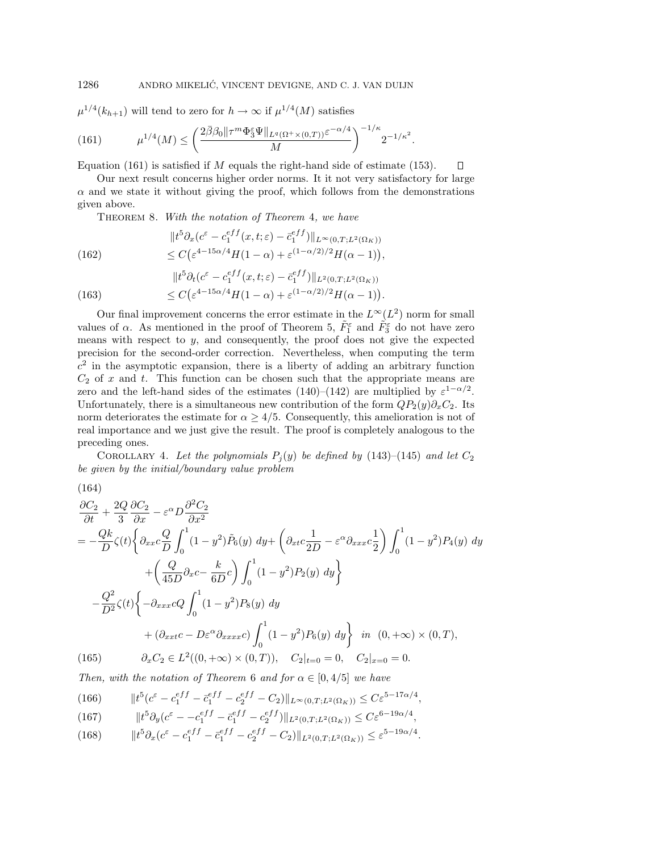$\mu^{1/4}(k_{h+1})$  will tend to zero for  $h \to \infty$  if  $\mu^{1/4}(M)$  satisfies

(161) 
$$
\mu^{1/4}(M) \le \left(\frac{2\bar{\beta}\beta_0 \|\tau^m \Phi_3^{\varepsilon} \Psi\|_{L^q(\Omega^+\times(0,T))} \varepsilon^{-\alpha/4}}{M}\right)^{-1/\kappa} 2^{-1/\kappa^2}.
$$

Equation (161) is satisfied if  $M$  equals the right-hand side of estimate (153).

Our next result concerns higher order norms. It it not very satisfactory for large  $\alpha$  and we state it without giving the proof, which follows from the demonstrations given above.

 $\Box$ 

THEOREM 8. With the notation of Theorem 4, we have

(162)  
\n
$$
||t^5 \partial_x (c^{\varepsilon} - c_1^{eff}(x, t; \varepsilon) - \bar{c}_1^{eff})||_{L^{\infty}(0, T; L^2(\Omega_K))}
$$
\n
$$
\leq C \big( \varepsilon^{4-15\alpha/4} H(1-\alpha) + \varepsilon^{(1-\alpha/2)/2} H(\alpha - 1) \big),
$$
\n
$$
||t^5 \partial_x (\varepsilon - e^{ff}, t) - e^{ff}||
$$

(163) 
$$
||t^{5}\partial_{t}(c^{\varepsilon} - c_{1}^{eff}(x, t; \varepsilon) - \bar{c}_{1}^{eff})||_{L^{2}(0, T; L^{2}(\Omega_{K}))}
$$

$$
\leq C(\varepsilon^{4-15\alpha/4}H(1-\alpha) + \varepsilon^{(1-\alpha/2)/2}H(\alpha-1)).
$$

Our final improvement concerns the error estimate in the  $L^{\infty}(L^2)$  norm for small values of  $\alpha$ . As mentioned in the proof of Theorem 5,  $\tilde{F}_1^{\varepsilon}$  and  $\tilde{F}_3^{\varepsilon}$  do not have zero means with respect to y, and consequently, the proof does not give the expected precision for the second-order correction. Nevertheless, when computing the term  $c<sup>2</sup>$  in the asymptotic expansion, there is a liberty of adding an arbitrary function  $C_2$  of x and t. This function can be chosen such that the appropriate means are zero and the left-hand sides of the estimates (140)–(142) are multiplied by  $\varepsilon^{1-\alpha/2}$ . Unfortunately, there is a simultaneous new contribution of the form  $QP_2(y)\partial_xC_2$ . Its norm deteriorates the estimate for  $\alpha \geq 4/5$ . Consequently, this amelioration is not of real importance and we just give the result. The proof is completely analogous to the preceding ones.

COROLLARY 4. Let the polynomials  $P_i(y)$  be defined by (143)–(145) and let  $C_2$ be given by the initial/boundary value problem

$$
(164)
$$

$$
\frac{\partial C_2}{\partial t} + \frac{2Q}{3} \frac{\partial C_2}{\partial x} - \varepsilon^{\alpha} D \frac{\partial^2 C_2}{\partial x^2}
$$
\n
$$
= -\frac{Qk}{D} \zeta(t) \left\{ \partial_{xx} c \frac{Q}{D} \int_0^1 (1 - y^2) \tilde{P}_6(y) \, dy + \left( \partial_{xt} c \frac{1}{2D} - \varepsilon^{\alpha} \partial_{xxx} c \frac{1}{2} \right) \int_0^1 (1 - y^2) P_4(y) \, dy \right\}
$$
\n
$$
+ \left( \frac{Q}{45D} \partial_x c - \frac{k}{6D} c \right) \int_0^1 (1 - y^2) P_2(y) \, dy \right\}
$$
\n
$$
- \frac{Q^2}{D^2} \zeta(t) \left\{ -\partial_{xxx} cQ \int_0^1 (1 - y^2) P_8(y) \, dy \right\}
$$
\n
$$
+ (\partial_{xxt} c - D\varepsilon^{\alpha} \partial_{xxxx} c) \int_0^1 (1 - y^2) P_6(y) \, dy \right\} \quad in \quad (0, +\infty) \times (0, T),
$$
\n(165) 
$$
\partial_x C_2 \in L^2((0, +\infty) \times (0, T)), \quad C_2|_{t=0} = 0, \quad C_2|_{x=0} = 0.
$$

Then, with the notation of Theorem 6 and for  $\alpha \in [0, 4/5]$  we have

(166) 
$$
||t^{5}(c^{\varepsilon} - c_{1}^{eff} - \bar{c}_{1}^{eff} - c_{2}^{eff} - C_{2})||_{L^{\infty}(0,T;L^{2}(\Omega_{K}))} \leq C \varepsilon^{5-17\alpha/4},
$$

(167) 
$$
||t^5 \partial_y (c^{\varepsilon} - -c_1^{eff} - \bar{c}_1^{eff} - c_2^{eff})||_{L^2(0,T;L^2(\Omega_K))} \leq C \varepsilon^{6-19\alpha/4},
$$

(168) 
$$
||t^5 \partial_x (c^{\varepsilon} - c_1^{eff} - \bar{c}_1^{eff} - c_2^{eff} - C_2)||_{L^2(0,T;L^2(\Omega_K))} \leq \varepsilon^{5-19\alpha/4}.
$$